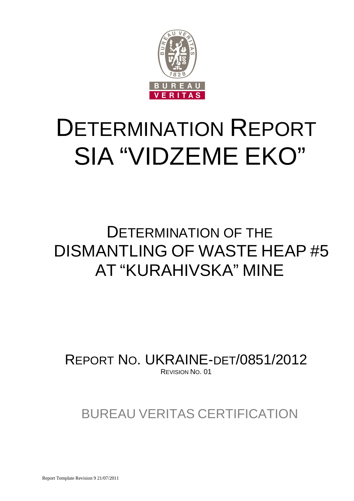

# DETERMINATION REPORT SIA "VIDZEME EKO"

## DETERMINATION OF THE DISMANTLING OF WASTE HEAP #5 AT "KURAHIVSKA" MINE

REPORT NO. UKRAINE-DET/0851/2012 REVISION NO. 01

BUREAU VERITAS CERTIFICATION

Report Template Revision 9 21/07/2011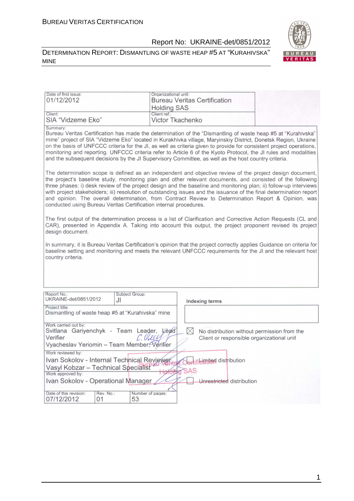#### DETERMINATION REPORT: DISMANTLING OF WASTE HEAP #5 AT "KURAHIVSKA" MINE



| Date of first issue:<br>01/12/2012                                                                                                                                                                                                                                                                                                                                                                                                                                                                                                                                                                                                              | Organizational unit:               | <b>Bureau Veritas Certification</b>                                                                     |  |
|-------------------------------------------------------------------------------------------------------------------------------------------------------------------------------------------------------------------------------------------------------------------------------------------------------------------------------------------------------------------------------------------------------------------------------------------------------------------------------------------------------------------------------------------------------------------------------------------------------------------------------------------------|------------------------------------|---------------------------------------------------------------------------------------------------------|--|
| Client:                                                                                                                                                                                                                                                                                                                                                                                                                                                                                                                                                                                                                                         | <b>Holding SAS</b><br>Client ref.: |                                                                                                         |  |
| SIA "Vidzeme Eko"                                                                                                                                                                                                                                                                                                                                                                                                                                                                                                                                                                                                                               |                                    | Victor Tkachenko                                                                                        |  |
| Summary:<br>Bureau Veritas Certification has made the determination of the "Dismantling of waste heap #5 at "Kurahivska"<br>mine" project of SIA "Vidzeme Eko" located in Kurakhivka village, Maryinskiy District, Donetsk Region, Ukraine<br>on the basis of UNFCCC criteria for the JI, as well as criteria given to provide for consistent project operations,<br>monitoring and reporting. UNFCCC criteria refer to Article 6 of the Kyoto Protocol, the JI rules and modalities<br>and the subsequent decisions by the JI Supervisory Committee, as well as the host country criteria.                                                     |                                    |                                                                                                         |  |
| The determination scope is defined as an independent and objective review of the project design document,<br>the project's baseline study, monitoring plan and other relevant documents, and consisted of the following<br>three phases: i) desk review of the project design and the baseline and monitoring plan; ii) follow-up interviews<br>with project stakeholders; iii) resolution of outstanding issues and the issuance of the final determination report<br>and opinion. The overall determination, from Contract Review to Determination Report & Opinion, was<br>conducted using Bureau Veritas Certification internal procedures. |                                    |                                                                                                         |  |
| The first output of the determination process is a list of Clarification and Corrective Action Requests (CL and<br>CAR), presented in Appendix A. Taking into account this output, the project proponent revised its project<br>design document.                                                                                                                                                                                                                                                                                                                                                                                                |                                    |                                                                                                         |  |
| In summary, it is Bureau Veritas Certification's opinion that the project correctly applies Guidance on criteria for<br>baseline setting and monitoring and meets the relevant UNFCCC requirements for the JI and the relevant host<br>country criteria.                                                                                                                                                                                                                                                                                                                                                                                        |                                    |                                                                                                         |  |
|                                                                                                                                                                                                                                                                                                                                                                                                                                                                                                                                                                                                                                                 |                                    |                                                                                                         |  |
| Report No.:<br>UKRAINE-det/0851/2012<br>JI                                                                                                                                                                                                                                                                                                                                                                                                                                                                                                                                                                                                      | Subject Group:                     | Indexing terms                                                                                          |  |
| Project title:<br>Dismantling of waste heap #5 at "Kurahivska" mine                                                                                                                                                                                                                                                                                                                                                                                                                                                                                                                                                                             |                                    |                                                                                                         |  |
| Work carried out by:<br>Svitlana Gariyenchyk - Team Leader, Lead<br>Verifier<br>Vyacheslav Yeriomin - Team Member, Verifier                                                                                                                                                                                                                                                                                                                                                                                                                                                                                                                     | C. Cloley                          | $\boxtimes$<br>No distribution without permission from the<br>Client or responsible organizational unit |  |
| Work reviewed by:                                                                                                                                                                                                                                                                                                                                                                                                                                                                                                                                                                                                                               |                                    |                                                                                                         |  |
| Ivan Sokolov - Internal Technical Reviewer<br>Vasyl Kobzar - Technical Specialist                                                                                                                                                                                                                                                                                                                                                                                                                                                                                                                                                               |                                    | ertifieimited distribution                                                                              |  |
| Work approved by:                                                                                                                                                                                                                                                                                                                                                                                                                                                                                                                                                                                                                               |                                    | <b>SAS</b>                                                                                              |  |
| Ivan Sokolov - Operational Manager                                                                                                                                                                                                                                                                                                                                                                                                                                                                                                                                                                                                              |                                    | Unrestricted distribution                                                                               |  |
| Date of this revision:<br>Rev. No.:<br>07/12/2012<br>01                                                                                                                                                                                                                                                                                                                                                                                                                                                                                                                                                                                         | Number of pages:<br>53             |                                                                                                         |  |

1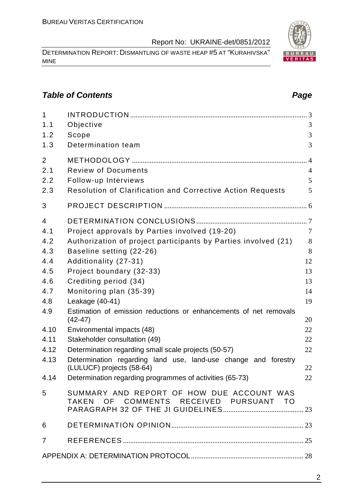DETERMINATION REPORT: DISMANTLING OF WASTE HEAP #5 AT "KURAHIVSKA" MINE

#### **Table of Contents Page 2014**

| $\mathbf{1}$   |                                                                                     |                |
|----------------|-------------------------------------------------------------------------------------|----------------|
| 1.1            | Objective                                                                           | 3              |
| 1.2            | Scope                                                                               | 3              |
| 1.3            | Determination team                                                                  | 3              |
| $\overline{2}$ |                                                                                     |                |
| 2.1            | <b>Review of Documents</b>                                                          | $\overline{4}$ |
| 2.2            | Follow-up Interviews                                                                | 5              |
| 2.3            | Resolution of Clarification and Corrective Action Requests                          | 5              |
| 3              |                                                                                     |                |
| $\overline{4}$ |                                                                                     |                |
| 4.1            | Project approvals by Parties involved (19-20)                                       | $\overline{7}$ |
| 4.2            | Authorization of project participants by Parties involved (21)                      | 8              |
| 4.3            | Baseline setting (22-26)                                                            | 8              |
| 4.4            | Additionality (27-31)                                                               | 12             |
| 4.5            | Project boundary (32-33)                                                            | 13             |
| 4.6            | Crediting period (34)                                                               | 13             |
| 4.7            | Monitoring plan (35-39)                                                             | 14             |
| 4.8            | Leakage (40-41)                                                                     | 19             |
| 4.9            | Estimation of emission reductions or enhancements of net removals<br>$(42-47)$      | 20             |
| 4.10           | Environmental impacts (48)                                                          | 22             |
| 4.11           | Stakeholder consultation (49)                                                       | 22             |
| 4.12           | Determination regarding small scale projects (50-57)                                | 22             |
| 4.13           | Determination regarding land use, land-use change and forestry                      |                |
|                | (LULUCF) projects (58-64)                                                           | 22             |
| 4.14           | Determination regarding programmes of activities (65-73)                            | 22             |
| 5              | SUMMARY AND REPORT OF HOW DUE ACCOUNT WAS<br>TAKEN OF COMMENTS RECEIVED PURSUANT TO |                |
|                |                                                                                     |                |
| 6              |                                                                                     |                |
| $\overline{7}$ |                                                                                     |                |
|                |                                                                                     |                |

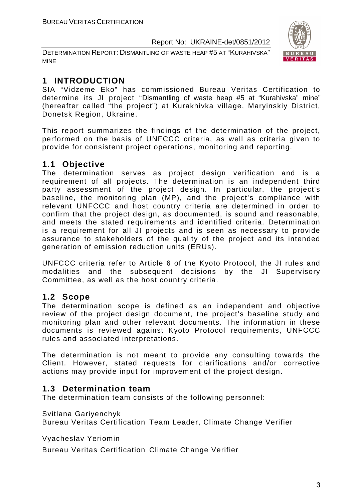DETERMINATION REPORT: DISMANTLING OF WASTE HEAP #5 AT "KURAHIVSKA" MINE



#### **1 INTRODUCTION**

SIA "Vidzeme Eko" has commissioned Bureau Veritas Certification to determine its JI project "Dismantling of waste heap #5 at "Kurahivska" mine" (hereafter called "the project") at Kurakhivka village, Maryinskiy District, Donetsk Region, Ukraine.

This report summarizes the findings of the determination of the project, performed on the basis of UNFCCC criteria, as well as criteria given to provide for consistent project operations, monitoring and reporting.

#### **1.1 Objective**

The determination serves as project design verification and is a requirement of all projects. The determination is an independent third party assessment of the project design. In particular, the project's baseline, the monitoring plan (MP), and the project's compliance with relevant UNFCCC and host country criteria are determined in order to confirm that the project design, as documented, is sound and reasonable, and meets the stated requirements and identified criteria. Determination is a requirement for all JI projects and is seen as necessary to provide assurance to stakeholders of the quality of the project and its intended generation of emission reduction units (ERUs).

UNFCCC criteria refer to Article 6 of the Kyoto Protocol, the JI rules and modalities and the subsequent decisions by the JI Supervisory Committee, as well as the host country criteria.

#### **1.2 Scope**

The determination scope is defined as an independent and objective review of the project design document, the project's baseline study and monitoring plan and other relevant documents. The information in these documents is reviewed against Kyoto Protocol requirements, UNFCCC rules and associated interpretations.

The determination is not meant to provide any consulting towards the Client. However, stated requests for clarifications and/or corrective actions may provide input for improvement of the project design.

#### **1.3 Determination team**

The determination team consists of the following personnel:

Svitlana Gariyenchyk

Bureau Veritas Certification Team Leader, Climate Change Verifier

Vyacheslav Yeriomin

Bureau Veritas Certification Climate Change Verifier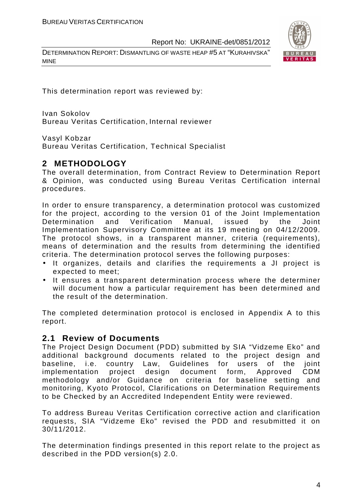DETERMINATION REPORT: DISMANTLING OF WASTE HEAP #5 AT "KURAHIVSKA" MINE



This determination report was reviewed by:

Ivan Sokolov Bureau Veritas Certification, Internal reviewer

Vasyl Kobzar

Bureau Veritas Certification, Technical Specialist

#### **2 METHODOLOGY**

The overall determination, from Contract Review to Determination Report & Opinion, was conducted using Bureau Veritas Certification internal procedures.

In order to ensure transparency, a determination protocol was customized for the project, according to the version 01 of the Joint Implementation Determination and Verification Manual, issued by the Joint Implementation Supervisory Committee at its 19 meeting on 04/12/2009. The protocol shows, in a transparent manner, criteria (requirements), means of determination and the results from determining the identified criteria. The determination protocol serves the following purposes:

- It organizes, details and clarifies the requirements a JI project is expected to meet;
- It ensures a transparent determination process where the determiner will document how a particular requirement has been determined and the result of the determination.

The completed determination protocol is enclosed in Appendix A to this report.

#### **2.1 Review of Documents**

The Project Design Document (PDD) submitted by SIA "Vidzeme Eko" and additional background documents related to the project design and baseline, i.e. country Law, Guidelines for users of the joint implementation project design document form, Approved CDM methodology and/or Guidance on criteria for baseline setting and monitoring, Kyoto Protocol, Clarifications on Determination Requirements to be Checked by an Accredited Independent Entity were reviewed.

To address Bureau Veritas Certification corrective action and clarification requests, SIA "Vidzeme Eko" revised the PDD and resubmitted it on 30/11/2012.

The determination findings presented in this report relate to the project as described in the PDD version(s) 2.0.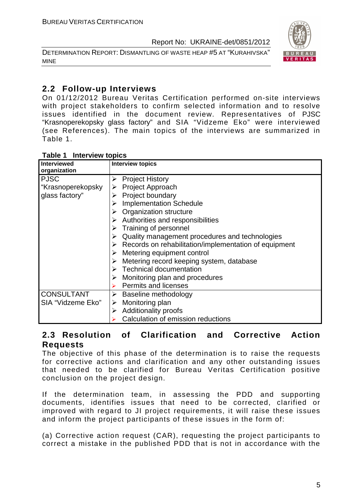DETERMINATION REPORT: DISMANTLING OF WASTE HEAP #5 AT "KURAHIVSKA" MINE



#### **2.2 Follow-up Interviews**

On 01/12/2012 Bureau Veritas Certification performed on-site interviews with project stakeholders to confirm selected information and to resolve issues identified in the document review. Representatives of PJSC "Krasnoperekopsky glass factory" and SIA "Vidzeme Eko" were interviewed (see References). The main topics of the interviews are summarized in Table 1.

| <b>Interview topics</b><br>Table 1 |  |
|------------------------------------|--|
|------------------------------------|--|

| <b>Interviewed</b><br>organization | <b>Interview topics</b>                                                |
|------------------------------------|------------------------------------------------------------------------|
| <b>PJSC</b>                        | <b>Project History</b>                                                 |
| "Krasnoperekopsky                  | <b>Project Approach</b>                                                |
| glass factory"                     | Project boundary                                                       |
|                                    | <b>Implementation Schedule</b>                                         |
|                                    | Organization structure                                                 |
|                                    | $\triangleright$ Authorities and responsibilities                      |
|                                    | Training of personnel                                                  |
|                                    | Quality management procedures and technologies                         |
|                                    | $\triangleright$ Records on rehabilitation/implementation of equipment |
|                                    | $\triangleright$ Metering equipment control                            |
|                                    | Metering record keeping system, database                               |
|                                    | $\triangleright$ Technical documentation                               |
|                                    | Monitoring plan and procedures                                         |
|                                    | <b>Permits and licenses</b>                                            |
| <b>CONSULTANT</b>                  | Baseline methodology                                                   |
| SIA "Vidzeme Eko"                  | Monitoring plan<br>➤                                                   |
|                                    | <b>Additionality proofs</b><br>➤                                       |
|                                    | Calculation of emission reductions                                     |

#### **2.3 Resolution of Clarification and Corrective Action Requests**

The objective of this phase of the determination is to raise the requests for corrective actions and clarification and any other outstanding issues that needed to be clarified for Bureau Veritas Certification positive conclusion on the project design.

If the determination team, in assessing the PDD and supporting documents, identifies issues that need to be corrected, clarified or improved with regard to JI project requirements, it will raise these issues and inform the project participants of these issues in the form of:

(a) Corrective action request (CAR), requesting the project participants to correct a mistake in the published PDD that is not in accordance with the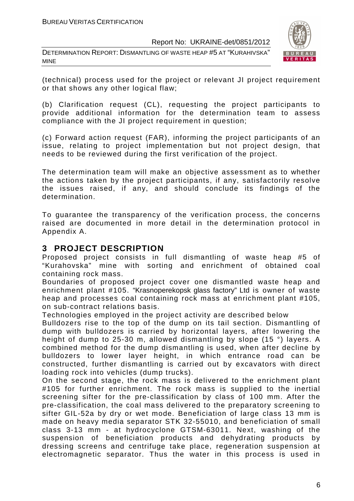DETERMINATION REPORT: DISMANTLING OF WASTE HEAP #5 AT "KURAHIVSKA" MINE



(technical) process used for the project or relevant JI project requirement or that shows any other logical flaw;

(b) Clarification request (CL), requesting the project participants to provide additional information for the determination team to assess compliance with the JI project requirement in question;

(c) Forward action request (FAR), informing the project participants of an issue, relating to project implementation but not project design, that needs to be reviewed during the first verification of the project.

The determination team will make an objective assessment as to whether the actions taken by the project participants, if any, satisfactorily resolve the issues raised, if any, and should conclude its findings of the determination.

To guarantee the transparency of the verification process, the concerns raised are documented in more detail in the determination protocol in Appendix A.

#### **3 PROJECT DESCRIPTION**

Proposed project consists in full dismantling of waste heap #5 of "Kurahovska" mine with sorting and enrichment of obtained coal containing rock mass.

Boundaries of proposed project cover one dismantled waste heap and enrichment plant #105. "Krasnoperekopsk glass factory" Ltd is owner of waste heap and processes coal containing rock mass at enrichment plant #105, on sub-contract relations basis.

Technologies employed in the project activity are described below

Bulldozers rise to the top of the dump on its tail section. Dismantling of dump with bulldozers is carried by horizontal layers, after lowering the height of dump to 25-30 m, allowed dismantling by slope (15 °) layers. A combined method for the dump dismantling is used, when after decline by bulldozers to lower layer height, in which entrance road can be constructed, further dismantling is carried out by excavators with direct loading rock into vehicles (dump trucks).

On the second stage, the rock mass is delivered to the enrichment plant #105 for further enrichment. The rock mass is supplied to the inertial screening sifter for the pre-classification by class of 100 mm. After the pre-classification, the coal mass delivered to the preparatory screening to sifter GIL-52a by dry or wet mode. Beneficiation of large class 13 mm is made on heavy media separator STK 32-55010, and beneficiation of small class 3-13 mm - at hydrocyclone GTSM-63011. Next, washing of the suspension of beneficiation products and dehydrating products by dressing screens and centrifuge take place, regeneration suspension at electromagnetic separator. Thus the water in this process is used in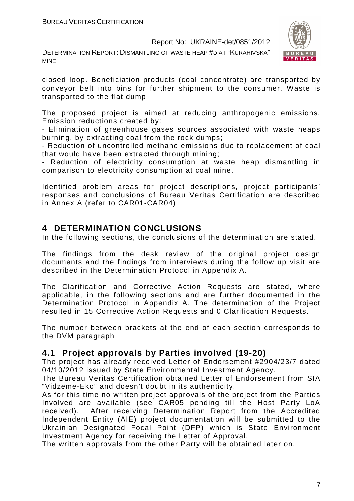DETERMINATION REPORT: DISMANTLING OF WASTE HEAP #5 AT "KURAHIVSKA" MINE



closed loop. Beneficiation products (coal concentrate) are transported by conveyor belt into bins for further shipment to the consumer. Waste is transported to the flat dump

The proposed project is aimed at reducing anthropogenic emissions. Emission reductions created by:

- Elimination of greenhouse gases sources associated with waste heaps burning, by extracting coal from the rock dumps;

- Reduction of uncontrolled methane emissions due to replacement of coal that would have been extracted through mining;

- Reduction of electricity consumption at waste heap dismantling in comparison to electricity consumption at coal mine.

Identified problem areas for project descriptions, project participants' responses and conclusions of Bureau Veritas Certification are described in Annex A (refer to CAR01-CAR04)

#### **4 DETERMINATION CONCLUSIONS**

In the following sections, the conclusions of the determination are stated.

The findings from the desk review of the original project design documents and the findings from interviews during the follow up visit are described in the Determination Protocol in Appendix A.

The Clarification and Corrective Action Requests are stated, where applicable, in the following sections and are further documented in the Determination Protocol in Appendix A. The determination of the Project resulted in 15 Corrective Action Requests and 0 Clarification Requests.

The number between brackets at the end of each section corresponds to the DVM paragraph

#### **4.1 Project approvals by Parties involved (19-20)**

The project has already received Letter of Endorsement #2904/23/7 dated 04/10/2012 issued by State Environmental Investment Agency.

The Bureau Veritas Certification obtained Letter of Endorsement from SIA "Vidzeme-Eko" and doesn't doubt in its authenticity.

As for this time no written project approvals of the project from the Parties Involved are available (see CAR05 pending till the Host Party LoA received). After receiving Determination Report from the Accredited Independent Entity (AIE) project documentation will be submitted to the Ukrainian Designated Focal Point (DFP) which is State Environment Investment Agency for receiving the Letter of Approval.

The written approvals from the other Party will be obtained later on.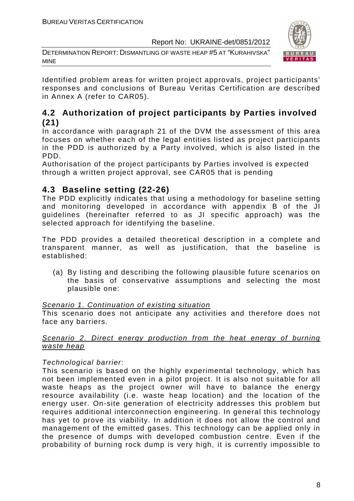DETERMINATION REPORT: DISMANTLING OF WASTE HEAP #5 AT "KURAHIVSKA" MINE



Identified problem areas for written project approvals, project participants' responses and conclusions of Bureau Veritas Certification are described in Annex A (refer to CAR05).

#### **4.2 Authorization of project participants by Parties involved (21)**

In accordance with paragraph 21 of the DVM the assessment of this area focuses on whether each of the legal entities listed as project participants in the PDD is authorized by a Party involved, which is also listed in the PDD.

Authorisation of the project participants by Parties involved is expected through a written project approval, see CAR05 that is pending

#### **4.3 Baseline setting (22-26)**

The PDD explicitly indicates that using a methodology for baseline setting and monitoring developed in accordance with appendix B of the JI guidelines (hereinafter referred to as JI specific approach) was the selected approach for identifying the baseline.

The PDD provides a detailed theoretical description in a complete and transparent manner, as well as justification, that the baseline is established:

(a) By listing and describing the following plausible future scenarios on the basis of conservative assumptions and selecting the most plausible one:

#### Scenario 1. Continuation of existing situation

This scenario does not anticipate any activities and therefore does not face any barriers.

#### Scenario 2. Direct energy production from the heat energy of burning waste heap

#### Technological barrier:

This scenario is based on the highly experimental technology, which has not been implemented even in a pilot project. It is also not suitable for all waste heaps as the project owner will have to balance the energy resource availability (i.e. waste heap location) and the location of the energy user. On-site generation of electricity addresses this problem but requires additional interconnection engineering. In general this technology has yet to prove its viability. In addition it does not allow the control and management of the emitted gases. This technology can be applied only in the presence of dumps with developed combustion centre. Even if the probability of burning rock dump is very high, it is currently impossible to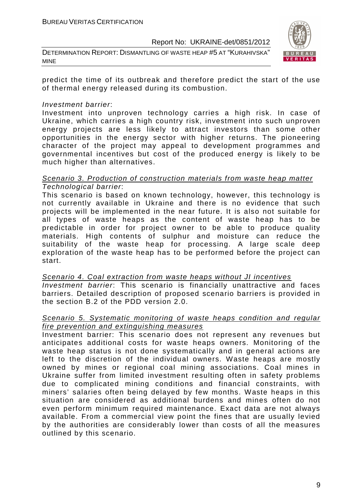DETERMINATION REPORT: DISMANTLING OF WASTE HEAP #5 AT "KURAHIVSKA" MINE



predict the time of its outbreak and therefore predict the start of the use of thermal energy released during its combustion.

#### Investment barrier:

Investment into unproven technology carries a high risk. In case of Ukraine, which carries a high country risk, investment into such unproven energy projects are less likely to attract investors than some other opportunities in the energy sector with higher returns. The pioneering character of the project may appeal to development programmes and governmental incentives but cost of the produced energy is likely to be much higher than alternatives.

#### Scenario 3. Production of construction materials from waste heap matter Technological barrier:

This scenario is based on known technology, however, this technology is not currently available in Ukraine and there is no evidence that such projects will be implemented in the near future. It is also not suitable for all types of waste heaps as the content of waste heap has to be predictable in order for project owner to be able to produce quality materials. High contents of sulphur and moisture can reduce the suitability of the waste heap for processing. A large scale deep exploration of the waste heap has to be performed before the project can start.

Scenario 4. Coal extraction from waste heaps without JI incentives Investment barrier: This scenario is financially unattractive and faces barriers. Detailed description of proposed scenario barriers is provided in the section B.2 of the PDD version 2.0.

#### Scenario 5. Systematic monitoring of waste heaps condition and regular fire prevention and extinguishing measures

Investment barrier: This scenario does not represent any revenues but anticipates additional costs for waste heaps owners. Monitoring of the waste heap status is not done systematically and in general actions are left to the discretion of the individual owners. Waste heaps are mostly owned by mines or regional coal mining associations. Coal mines in Ukraine suffer from limited investment resulting often in safety problems due to complicated mining conditions and financial constraints, with miners' salaries often being delayed by few months. Waste heaps in this situation are considered as additional burdens and mines often do not even perform minimum required maintenance. Exact data are not always available. From a commercial view point the fines that are usually levied by the authorities are considerably lower than costs of all the measures outlined by this scenario.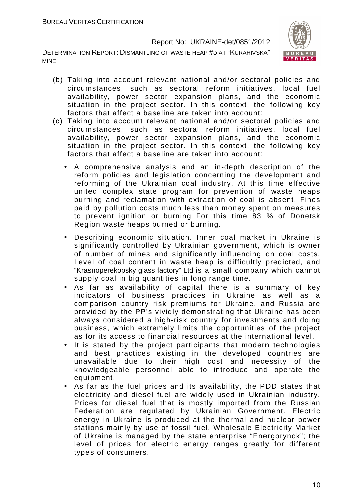DETERMINATION REPORT: DISMANTLING OF WASTE HEAP #5 AT "KURAHIVSKA" MINE



- (b) Taking into account relevant national and/or sectoral policies and circumstances, such as sectoral reform initiatives, local fuel availability, power sector expansion plans, and the economic situation in the project sector. In this context, the following key factors that affect a baseline are taken into account:
- (c) Taking into account relevant national and/or sectoral policies and circumstances, such as sectoral reform initiatives, local fuel availability, power sector expansion plans, and the economic situation in the project sector. In this context, the following key factors that affect a baseline are taken into account:
	- A comprehensive analysis and an in-depth description of the reform policies and legislation concerning the development and reforming of the Ukrainian coal industry. At this time effective united complex state program for prevention of waste heaps burning and reclamation with extraction of coal is absent. Fines paid by pollution costs much less than money spent on measures to prevent ignition or burning For this time 83 % of Donetsk Region waste heaps burned or burning.
	- Describing economic situation. Inner coal market in Ukraine is significantly controlled by Ukrainian government, which is owner of number of mines and significantly influencing on coal costs. Level of coal content in waste heap is difficultly predicted, and "Krasnoperekopsky glass factory" Ltd is a small company which cannot supply coal in big quantities in long range time.
	- As far as availability of capital there is a summary of key indicators of business practices in Ukraine as well as a comparison country risk premiums for Ukraine, and Russia are provided by the PP's vividly demonstrating that Ukraine has been always considered a high-risk country for investments and doing business, which extremely limits the opportunities of the project as for its access to financial resources at the international level.
	- It is stated by the project participants that modern technologies and best practices existing in the developed countries are unavailable due to their high cost and necessity of the knowledgeable personnel able to introduce and operate the equipment.
	- As far as the fuel prices and its availability, the PDD states that electricity and diesel fuel are widely used in Ukrainian industry. Prices for diesel fuel that is mostly imported from the Russian Federation are regulated by Ukrainian Government. Electric energy in Ukraine is produced at the thermal and nuclear power stations mainly by use of fossil fuel. Wholesale Electricity Market of Ukraine is managed by the state enterprise "Energorynok"; the level of prices for electric energy ranges greatly for different types of consumers.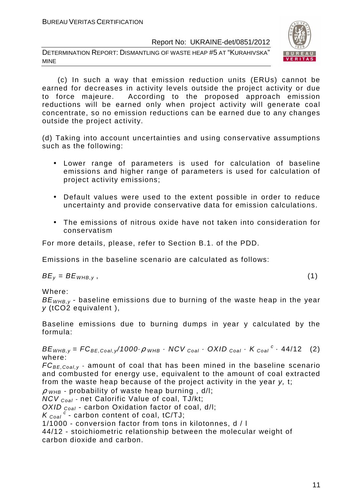DETERMINATION REPORT: DISMANTLING OF WASTE HEAP #5 AT "KURAHIVSKA" MINE



 (c) In such a way that emission reduction units (ERUs) cannot be earned for decreases in activity levels outside the project activity or due to force majeure. According to the proposed approach emission reductions will be earned only when project activity will generate coal concentrate, so no emission reductions can be earned due to any changes outside the project activity.

(d) Taking into account uncertainties and using conservative assumptions such as the following:

- Lower range of parameters is used for calculation of baseline emissions and higher range of parameters is used for calculation of project activity emissions;
- Default values were used to the extent possible in order to reduce uncertainty and provide conservative data for emission calculations.
- The emissions of nitrous oxide have not taken into consideration for conservatism

For more details, please, refer to Section B.1. of the PDD.

Emissions in the baseline scenario are calculated as follows:

 $BE_v = BE_{WHB,v}$ , (1)

Where:

 $BE<sub>WHB,V</sub>$  - baseline emissions due to burning of the waste heap in the year y (tCO2 equivalent ),

Baseline emissions due to burning dumps in year y calculated by the formula:

 $BE_{WHB,y} = FC_{BE,Coal,y}/1000 \cdot \rho$  whb  $\cdot$  NCV  $_{Coal} \cdot$  OXID  $_{Coal} \cdot K_{Coal}^c \cdot 44/12$  (2) where:

 $FC_{BE, coal,v}$  - amount of coal that has been mined in the baseline scenario and combusted for energy use, equivalent to the amount of coal extracted from the waste heap because of the project activity in the year y, t;

 $\rho$  <sub>WHB</sub> - probability of waste heap burning, d/l;

 $NCV_{Coal}$  - net Calorific Value of coal, TJ/kt;

OXID  $_{Coal}$  - carbon Oxidation factor of coal, d/l:

 $K_{\text{Coal}}^c$  - carbon content of coal, tC/TJ;

1/1000 - conversion factor from tons in kilotonnes, d / l

44/12 - stoichiometric relationship between the molecular weight of carbon dioxide and carbon.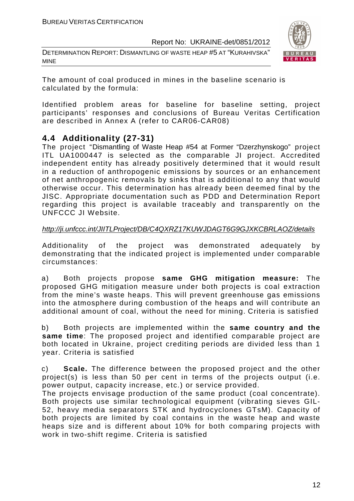DETERMINATION REPORT: DISMANTLING OF WASTE HEAP #5 AT "KURAHIVSKA" MINE



The amount of coal produced in mines in the baseline scenario is calculated by the formula:

Identified problem areas for baseline for baseline setting, project participants' responses and conclusions of Bureau Veritas Certification are described in Annex A (refer to CAR06-CAR08)

#### **4.4 Additionality (27-31)**

The project "Dismantling of Waste Heap #54 at Former "Dzerzhynskogo" project ITL UA1000447 is selected as the comparable JI project. Accredited independent entity has already positively determined that it would result in a reduction of anthropogenic emissions by sources or an enhancement of net anthropogenic removals by sinks that is additional to any that would otherwise occur. This determination has already been deemed final by the JISC. Appropriate documentation such as PDD and Determination Report regarding this project is available traceably and transparently on the UNFCCC JI Website.

#### http://ji.unfccc.int/JIITLProject/DB/C4QXRZ17KUWJDAGT6G9GJXKCBRLAOZ/details

Additionality of the project was demonstrated adequately by demonstrating that the indicated project is implemented under comparable circumstances:

a) Both projects propose **same GHG mitigation measure:** The proposed GHG mitigation measure under both projects is coal extraction from the mine's waste heaps. This will prevent greenhouse gas emissions into the atmosphere during combustion of the heaps and will contribute an additional amount of coal, without the need for mining. Criteria is satisfied

b) Both projects are implemented within the **same country and the same time**: The proposed project and identified comparable project are both located in Ukraine, project crediting periods are divided less than 1 year. Criteria is satisfied

c) **Scale.** The difference between the proposed project and the other project(s) is less than 50 per cent in terms of the projects output (i.e. power output, capacity increase, etc.) or service provided.

The projects envisage production of the same product (coal concentrate). Both projects use similar technological equipment (vibrating sieves GIL-52, heavy media separators STK and hydrocyclones GTsM). Capacity of both projects are limited by coal contains in the waste heap and waste heaps size and is different about 10% for both comparing projects with work in two-shift regime. Criteria is satisfied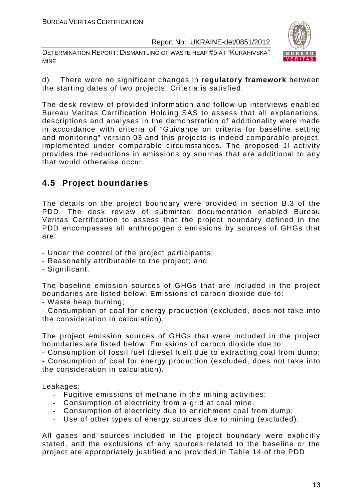DETERMINATION REPORT: DISMANTLING OF WASTE HEAP #5 AT "KURAHIVSKA" MINE



d) There were no significant changes in **regulatory framework** between the starting dates of two projects. Criteria is satisfied.

The desk review of provided information and follow-up interviews enabled Bureau Veritas Certification Holding SAS to assess that all explanations, descriptions and analyses in the demonstration of additionality were made in accordance with criteria of "Guidance on criteria for baseline setting and monitoring" version 03 and this projects is indeed comparable project, implemented under comparable circumstances. The proposed JI activity provides the reductions in emissions by sources that are additional to any that would otherwise occur.

#### **4.5 Project boundaries**

The details on the project boundary were provided in section B.3 of the PDD. The desk review of submitted documentation enabled Bureau Veritas Certification to assess that the project boundary defined in the PDD encompasses all anthropogenic emissions by sources of GHGs that are:

- Under the control of the project participants;
- Reasonably attributable to the project; and
- Significant.

The baseline emission sources of GHGs that are included in the project boundaries are listed below. Emissions of carbon dioxide due to:

- Waste heap burning;

- Consumption of coal for energy production (excluded, does not take into the consideration in calculation).

The project emission sources of GHGs that were included in the project boundaries are listed below. Emissions of carbon dioxide due to:

- Consumption of fossil fuel (diesel fuel) due to extracting coal from dump; - Consumption of coal for energy production (excluded, does not take into the consideration in calculation).

Leakages:

- Fugitive emissions of methane in the mining activities;
- Consumption of electricity from a grid at coal mine.
- Consumption of electricity due to enrichment coal from dump;
- Use of other types of energy sources due to mining (excluded).

All gases and sources included in the project boundary were explicitly stated, and the exclusions of any sources related to the baseline or the project are appropriately justified and provided in Table 14 of the PDD.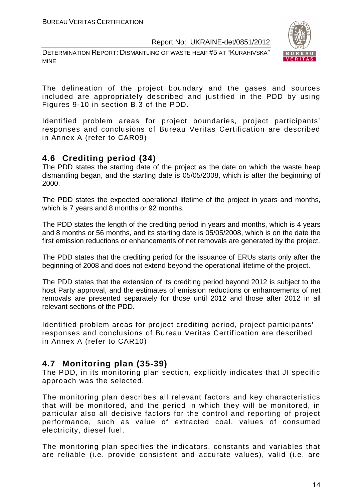DETERMINATION REPORT: DISMANTLING OF WASTE HEAP #5 AT "KURAHIVSKA" MINE



The delineation of the project boundary and the gases and sources included are appropriately described and justified in the PDD by using Figures 9-10 in section B.3 of the PDD.

Identified problem areas for project boundaries, project participants' responses and conclusions of Bureau Veritas Certification are described in Annex A (refer to CAR09)

#### **4.6 Crediting period (34)**

The PDD states the starting date of the project as the date on which the waste heap dismantling began, and the starting date is 05/05/2008, which is after the beginning of 2000.

The PDD states the expected operational lifetime of the project in years and months, which is 7 years and 8 months or 92 months.

The PDD states the length of the crediting period in years and months, which is 4 years and 8 months or 56 months, and its starting date is 05/05/2008, which is on the date the first emission reductions or enhancements of net removals are generated by the project.

The PDD states that the crediting period for the issuance of ERUs starts only after the beginning of 2008 and does not extend beyond the operational lifetime of the project.

The PDD states that the extension of its crediting period beyond 2012 is subject to the host Party approval, and the estimates of emission reductions or enhancements of net removals are presented separately for those until 2012 and those after 2012 in all relevant sections of the PDD.

Identified problem areas for project crediting period, project participants' responses and conclusions of Bureau Veritas Certification are described in Annex A (refer to CAR10)

#### **4.7 Monitoring plan (35-39)**

The PDD, in its monitoring plan section, explicitly indicates that JI specific approach was the selected.

The monitoring plan describes all relevant factors and key characteristics that will be monitored, and the period in which they will be monitored, in particular also all decisive factors for the control and reporting of project performance, such as value of extracted coal, values of consumed electricity, diesel fuel.

The monitoring plan specifies the indicators, constants and variables that are reliable (i.e. provide consistent and accurate values), valid (i.e. are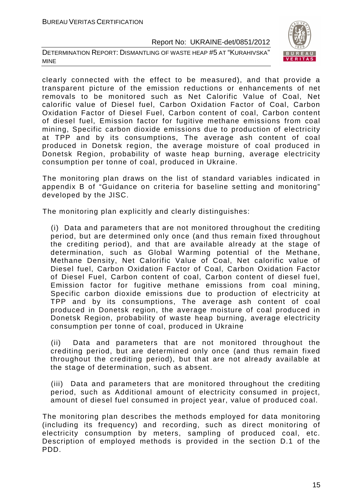DETERMINATION REPORT: DISMANTLING OF WASTE HEAP #5 AT "KURAHIVSKA" MINE



clearly connected with the effect to be measured), and that provide a transparent picture of the emission reductions or enhancements of net removals to be monitored such as Net Calorific Value of Coal, Net calorific value of Diesel fuel, Carbon Oxidation Factor of Coal, Carbon Oxidation Factor of Diesel Fuel, Carbon content of coal, Carbon content of diesel fuel, Emission factor for fugitive methane emissions from coal mining, Specific carbon dioxide emissions due to production of electricity at TPP and by its consumptions, The average ash content of coal produced in Donetsk region, the average moisture of coal produced in Donetsk Region, probability of waste heap burning, average electricity consumption per tonne of coal, produced in Ukraine.

The monitoring plan draws on the list of standard variables indicated in appendix B of "Guidance on criteria for baseline setting and monitoring" developed by the JISC.

The monitoring plan explicitly and clearly distinguishes:

(i) Data and parameters that are not monitored throughout the crediting period, but are determined only once (and thus remain fixed throughout the crediting period), and that are available already at the stage of determination, such as Global Warming potential of the Methane, Methane Density, Net Calorific Value of Coal, Net calorific value of Diesel fuel, Carbon Oxidation Factor of Coal, Carbon Oxidation Factor of Diesel Fuel, Carbon content of coal, Carbon content of diesel fuel, Emission factor for fugitive methane emissions from coal mining, Specific carbon dioxide emissions due to production of electricity at TPP and by its consumptions, The average ash content of coal produced in Donetsk region, the average moisture of coal produced in Donetsk Region, probability of waste heap burning, average electricity consumption per tonne of coal, produced in Ukraine

(ii) Data and parameters that are not monitored throughout the crediting period, but are determined only once (and thus remain fixed throughout the crediting period), but that are not already available at the stage of determination, such as absent.

(iii) Data and parameters that are monitored throughout the crediting period, such as Additional amount of electricity consumed in project, amount of diesel fuel consumed in project year, value of produced coal.

The monitoring plan describes the methods employed for data monitoring (including its frequency) and recording, such as direct monitoring of electricity consumption by meters, sampling of produced coal, etc. Description of employed methods is provided in the section D.1 of the PDD.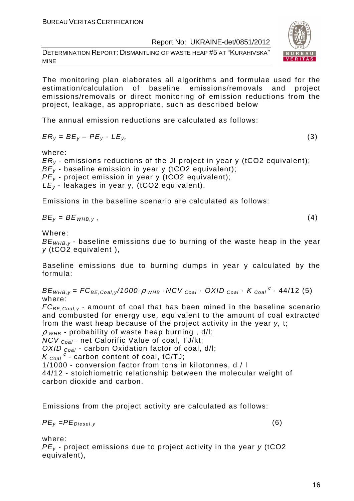DETERMINATION REPORT: DISMANTLING OF WASTE HEAP #5 AT "KURAHIVSKA" MINE

The monitoring plan elaborates all algorithms and formulae used for the estimation/calculation of baseline emissions/removals and project emissions/removals or direct monitoring of emission reductions from the project, leakage, as appropriate, such as described below

The annual emission reductions are calculated as follows:

$$
ER_y = BE_y - PE_y - LE_y,\tag{3}
$$

where:

 $ER<sub>v</sub>$  - emissions reductions of the JI project in year y (tCO2 equivalent);  $BE<sub>v</sub>$  - baseline emission in year y (tCO2 equivalent);  $PE<sub>v</sub>$  - project emission in year y (tCO2 equivalent);  $LE_y$  - leakages in year y, (tCO2 equivalent).

Emissions in the baseline scenario are calculated as follows:

$$
BE_{v} = BE_{WHB,v}
$$

 $BE_y = BE_{WHB,y}$ , (4)

Where:

 $BE<sub>WHB,V</sub>$  - baseline emissions due to burning of the waste heap in the year y (tCO2 equivalent ),

Baseline emissions due to burning dumps in year y calculated by the formula:

 $BE_{WHB,y} = FC_{BE,Coal,y}$ /1000 $\cdot \rho$  whe  $\cdot$  NCV  $_{Coal}$   $\cdot$  OXID  $_{Coal}$   $\cdot$  K  $_{Coal}$   $\cdot$  44/12 (5) where:

 $FC_{BE, coal, y}$  - amount of coal that has been mined in the baseline scenario and combusted for energy use, equivalent to the amount of coal extracted from the wast heap because of the project activity in the year y, t;

 $\rho$  <sub>WHB</sub> - probability of waste heap burning, d/l;

 $NCV_{Coal}$  - net Calorific Value of coal, TJ/kt;

OXID  $_{Coal}$  - carbon Oxidation factor of coal, d/l:

 $K_{\text{Coal}}^c$  - carbon content of coal, tC/TJ;

1/1000 - conversion factor from tons in kilotonnes, d / l

44/12 - stoichiometric relationship between the molecular weight of carbon dioxide and carbon.

Emissions from the project activity are calculated as follows:

$$
PE_{y} = PE_{Diesel,y} \tag{6}
$$

where:

 $PE<sub>v</sub>$  - project emissions due to project activity in the year y (tCO2 equivalent),

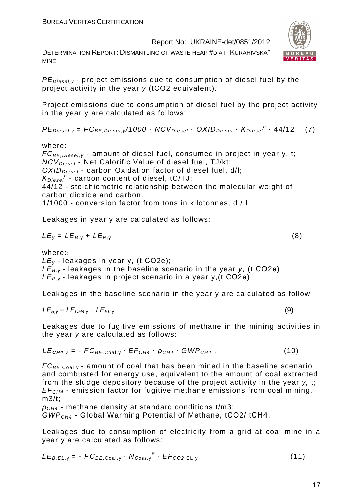DETERMINATION REPORT: DISMANTLING OF WASTE HEAP #5 AT "KURAHIVSKA" MINE



 $PE_{\text{Diesel},v}$  - project emissions due to consumption of diesel fuel by the project activity in the year y (tCO2 equivalent).

Project emissions due to consumption of diesel fuel by the project activity in the year y are calculated as follows:

 $PE_{\text{Diesel}, y} = FC_{BE, \text{Diesel}, y} / 1000 \cdot NCV_{\text{Diesel}} \cdot OXID_{\text{Diesel}} \cdot K_{\text{Diesel}}^c \cdot 44/12$  (7)

where:

 $FC_{BE, Diesel, y}$  - amount of diesel fuel, consumed in project in year y, t;  $NCV_{Diesel}$  - Net Calorific Value of diesel fuel, TJ/kt;  $OXID<sub>Diesel</sub>$  - carbon Oxidation factor of diesel fuel, d/l;  $K_{\text{Diesel}}^c$  - carbon content of diesel, tC/TJ; 44/12 - stoichiometric relationship between the molecular weight of carbon dioxide and carbon. 1/1000 - conversion factor from tons in kilotonnes, d / l

Leakages in year y are calculated as follows:

$$
LE_y = LE_{B,y} + LE_{P,y}
$$
 (8)

where::

 $LE<sub>v</sub>$  - leakages in year y, (t CO2e);  $LE_{B,y}$  - leakages in the baseline scenario in the year y, (t CO2e);  $LE_{P,Y}$ - leakages in project scenario in a year y, (t CO2e);

Leakages in the baseline scenario in the year y are calculated as follow

$$
LE_{B,y} = LE_{CH4,y} + LE_{EL,y}
$$
 (9)

Leakages due to fugitive emissions of methane in the mining activities in the year y are calculated as follows:

$$
LE_{\text{CH4},y} = -FC_{BE, \text{Coal},y} \cdot EF_{CH4} \cdot \rho_{CH4} \cdot GWP_{CH4}, \qquad (10)
$$

 $FC_{BE, coal,v}$  - amount of coal that has been mined in the baseline scenario and combusted for energy use, equivalent to the amount of coal extracted from the sludge depository because of the project activity in the year y, t;  $EF<sub>CH4</sub>$  - emission factor for fugitive methane emissions from coal mining, m3/t;

 $\rho_{CH4}$  - methane density at standard conditions t/m3: GWPCH4 - Global Warming Potential of Methane, tСО2/ tСН4.

Leakages due to consumption of electricity from a grid at coal mine in a year y are calculated as follows:

$$
LE_{B,EL,y} = -FC_{BE,Coal,y} \cdot N_{Coal,y}^{E} \cdot EF_{CO2,EL,y}
$$
 (11)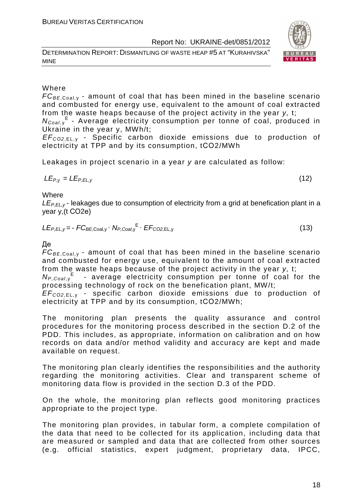DETERMINATION REPORT: DISMANTLING OF WASTE HEAP #5 AT "KURAHIVSKA" MINE



#### Where

 $FC_{BE, coal,v}$  - amount of coal that has been mined in the baseline scenario and combusted for energy use, equivalent to the amount of coal extracted from the waste heaps because of the project activity in the year y, t;

N<sub>Coal,y</sub><sup>E</sup> - Average electricity consumption per tonne of coal, produced in Ukraine in the year y, MWh/t;

EF<sup>C</sup>*О*2,EL, <sup>у</sup> - Specific carbon dioxide emissions due to production of electricity at TPP and by its consumption, tСО2/MWh

Leakages in project scenario in a year y are calculated as follow:

$$
LE_{P,y} = LE_{P,EL,y} \tag{12}
$$

**Where** 

 $LE_{PFLV}$ - leakages due to consumption of electricity from a grid at benefication plant in a year y,(t СО2е)

$$
LE_{P,EL,y} = -FC_{BE,Coal,y} \cdot N_{P,Coal,y}^{E} \cdot EF_{CO2,EL,y}
$$
 (13)

Де

 $FC_{BE,Coal,v}$  - amount of coal that has been mined in the baseline scenario and combusted for energy use, equivalent to the amount of coal extracted from the waste heaps because of the project activity in the year y, t;

 $N_{P,Coal,y}$ <sup>E</sup> - average electricity consumption per tonne of coal for the processing technology of rock on the benefication plant, MW/t;

EF<sup>C</sup>*О*2,EL, <sup>у</sup> - specific carbon dioxide emissions due to production of electricity at TPP and by its consumption, tСО2/MWh;

The monitoring plan presents the quality assurance and control procedures for the monitoring process described in the section D.2 of the PDD. This includes, as appropriate, information on calibration and on how records on data and/or method validity and accuracy are kept and made available on request.

The monitoring plan clearly identifies the responsibilities and the authority regarding the monitoring activities. Clear and transparent scheme of monitoring data flow is provided in the section D.3 of the PDD.

On the whole, the monitoring plan reflects good monitoring practices appropriate to the project type.

The monitoring plan provides, in tabular form, a complete compilation of the data that need to be collected for its application, including data that are measured or sampled and data that are collected from other sources (e.g. official statistics, expert judgment, proprietary data, IPCC,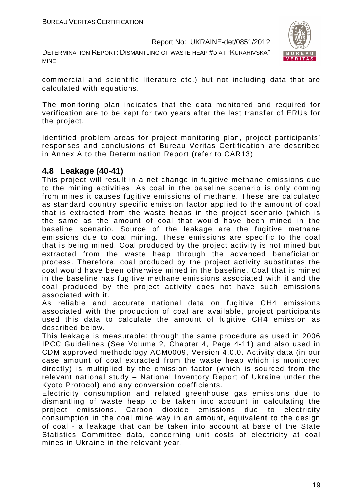DETERMINATION REPORT: DISMANTLING OF WASTE HEAP #5 AT "KURAHIVSKA" MINE



commercial and scientific literature etc.) but not including data that are calculated with equations.

The monitoring plan indicates that the data monitored and required for verification are to be kept for two years after the last transfer of ERUs for the project.

Identified problem areas for project monitoring plan, project participants' responses and conclusions of Bureau Veritas Certification are described in Annex A to the Determination Report (refer to CAR13)

#### **4.8 Leakage (40-41)**

This project will result in a net change in fugitive methane emissions due to the mining activities. As coal in the baseline scenario is only coming from mines it causes fugitive emissions of methane. These are calculated as standard country specific emission factor applied to the amount of coal that is extracted from the waste heaps in the project scenario (which is the same as the amount of coal that would have been mined in the baseline scenario. Source of the leakage are the fugitive methane emissions due to coal mining. These emissions are specific to the coal that is being mined. Coal produced by the project activity is not mined but extracted from the waste heap through the advanced beneficiation process. Therefore, coal produced by the project activity substitutes the coal would have been otherwise mined in the baseline. Coal that is mined in the baseline has fugitive methane emissions associated with it and the coal produced by the project activity does not have such emissions associated with it.

As reliable and accurate national data on fugitive CH4 emissions associated with the production of coal are available, project participants used this data to calculate the amount of fugitive CH4 emission as described below.

This leakage is measurable: through the same procedure as used in 2006 IPCC Guidelines (See Volume 2, Chapter 4, Page 4-11) and also used in CDM approved methodology ACM0009, Version 4.0.0. Activity data (in our case amount of coal extracted from the waste heap which is monitored directly) is multiplied by the emission factor (which is sourced from the relevant national study – National Inventory Report of Ukraine under the Kyoto Protocol) and any conversion coefficients.

Electricity consumption and related greenhouse gas emissions due to dismantling of waste heap to be taken into account in calculating the project emissions. Carbon dioxide emissions due to electricity consumption in the coal mine way in an amount, equivalent to the design of coal - a leakage that can be taken into account at base of the State Statistics Committee data, concerning unit costs of electricity at coal mines in Ukraine in the relevant year.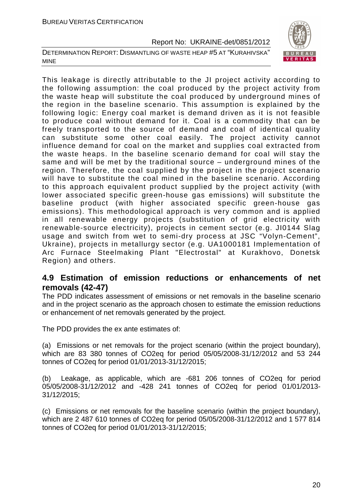DETERMINATION REPORT: DISMANTLING OF WASTE HEAP #5 AT "KURAHIVSKA" MINE



This leakage is directly attributable to the JI project activity according to the following assumption: the coal produced by the project activity from the waste heap will substitute the coal produced by underground mines of the region in the baseline scenario. This assumption is explained by the following logic: Energy coal market is demand driven as it is not feasible to produce coal without demand for it. Coal is a commodity that can be freely transported to the source of demand and coal of identical quality can substitute some other coal easily. The project activity cannot influence demand for coal on the market and supplies coal extracted from the waste heaps. In the baseline scenario demand for coal will stay the same and will be met by the traditional source – underground mines of the region. Therefore, the coal supplied by the project in the project scenario will have to substitute the coal mined in the baseline scenario. According to this approach equivalent product supplied by the project activity (with lower associated specific green-house gas emissions) will substitute the baseline product (with higher associated specific green-house gas emissions). This methodological approach is very common and is applied in all renewable energy projects (substitution of grid electricity with renewable-source electricity), projects in cement sector (e.g. JI0144 Slag usage and switch from wet to semi-dry process at JSC "Volyn-Cement", Ukraine), projects in metallurgy sector (e.g. UA1000181 Implementation of Arc Furnace Steelmaking Plant "Electrostal" at Kurakhovo, Donetsk Region) and others.

#### **4.9 Estimation of emission reductions or enhancements of net removals (42-47)**

The PDD indicates assessment of emissions or net removals in the baseline scenario and in the project scenario as the approach chosen to estimate the emission reductions or enhancement of net removals generated by the project.

The PDD provides the ex ante estimates of:

(a) Emissions or net removals for the project scenario (within the project boundary), which are 83 380 tonnes of CO2eq for period 05/05/2008-31/12/2012 and 53 244 tonnes of CO2eq for period 01/01/2013-31/12/2015;

(b) Leakage, as applicable, which are -681 206 tonnes of CO2eq for period 05/05/2008-31/12/2012 and -428 241 tonnes of CO2eq for period 01/01/2013- 31/12/2015;

(c) Emissions or net removals for the baseline scenario (within the project boundary), which are 2 487 610 tonnes of CO2eq for period 05/05/2008-31/12/2012 and 1 577 814 tonnes of CO2eq for period 01/01/2013-31/12/2015;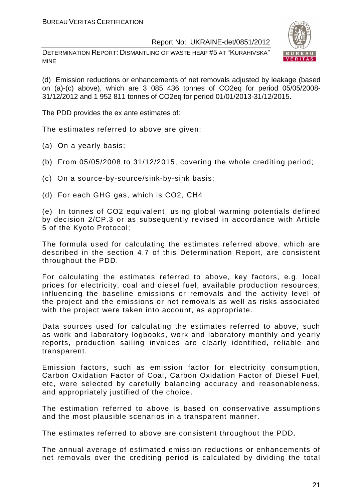DETERMINATION REPORT: DISMANTLING OF WASTE HEAP #5 AT "KURAHIVSKA" MINE



(d) Emission reductions or enhancements of net removals adjusted by leakage (based on (a)-(c) above), which are 3 085 436 tonnes of CO2eq for period 05/05/2008- 31/12/2012 and 1 952 811 tonnes of CO2eq for period 01/01/2013-31/12/2015.

The PDD provides the ex ante estimates of:

The estimates referred to above are given:

- (a) On a yearly basis;
- (b) From 05/05/2008 to 31/12/2015, covering the whole crediting period;
- (c) On a source-by-source/sink-by-sink basis;
- (d) For each GHG gas, which is CO2, СН4

(e) In tonnes of CO2 equivalent, using global warming potentials defined by decision 2/CP.3 or as subsequently revised in accordance with Article 5 of the Kyoto Protocol;

The formula used for calculating the estimates referred above, which are described in the section 4.7 of this Determination Report, are consistent throughout the PDD.

For calculating the estimates referred to above, key factors, e.g. local prices for electricity, coal and diesel fuel, available production resources, influencing the baseline emissions or removals and the activity level of the project and the emissions or net removals as well as risks associated with the project were taken into account, as appropriate.

Data sources used for calculating the estimates referred to above, such as work and laboratory logbooks, work and laboratory monthly and yearly reports, production sailing invoices are clearly identified, reliable and transparent.

Emission factors, such as emission factor for electricity consumption, Carbon Oxidation Factor of Coal, Carbon Oxidation Factor of Diesel Fuel, etc, were selected by carefully balancing accuracy and reasonableness, and appropriately justified of the choice.

The estimation referred to above is based on conservative assumptions and the most plausible scenarios in a transparent manner.

The estimates referred to above are consistent throughout the PDD.

The annual average of estimated emission reductions or enhancements of net removals over the crediting period is calculated by dividing the total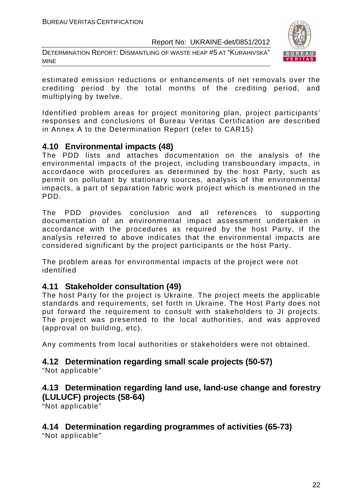DETERMINATION REPORT: DISMANTLING OF WASTE HEAP #5 AT "KURAHIVSKA" MINE



estimated emission reductions or enhancements of net removals over the crediting period by the total months of the crediting period, and multiplying by twelve.

Identified problem areas for project monitoring plan, project participants' responses and conclusions of Bureau Veritas Certification are described in Annex A to the Determination Report (refer to CAR15)

#### **4.10 Environmental impacts (48)**

The PDD lists and attaches documentation on the analysis of the environmental impacts of the project, including transboundary impacts, in accordance with procedures as determined by the host Party, such as permit on pollutant by stationary sources, analysis of the environmental impacts, a part of separation fabric work project which is mentioned in the PDD.

The PDD provides conclusion and all references to supporting documentation of an environmental impact assessment undertaken in accordance with the procedures as required by the host Party, if the analysis referred to above indicates that the environmental impacts are considered significant by the project participants or the host Party.

The problem areas for environmental impacts of the project were not identified

#### **4.11 Stakeholder consultation (49)**

The host Party for the project is Ukraine. The project meets the applicable standards and requirements, set forth in Ukraine. The Host Party does not put forward the requirement to consult with stakeholders to JI projects. The project was presented to the local authorities, and was approved (approval on building, etc).

Any comments from local authorities or stakeholders were not obtained.

#### **4.12 Determination regarding small scale projects (50-57)**

"Not applicable"

#### **4.13 Determination regarding land use, land-use change and forestry (LULUCF) projects (58-64)**

"Not applicable"

### **4.14 Determination regarding programmes of activities (65-73)**

"Not applicable"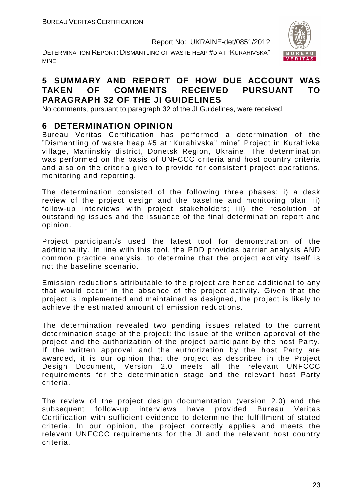DETERMINATION REPORT: DISMANTLING OF WASTE HEAP #5 AT "KURAHIVSKA" MINE



#### **5 SUMMARY AND REPORT OF HOW DUE ACCOUNT WAS TAKEN OF COMMENTS RECEIVED PURSUANT TO PARAGRAPH 32 OF THE JI GUIDELINES**

No comments, pursuant to paragraph 32 of the JI Guidelines, were received

#### **6 DETERMINATION OPINION**

Bureau Veritas Certification has performed a determination of the "Dismantling of waste heap #5 at "Kurahivska" mine" Project in Kurahivka village, Mariinskiy district, Donetsk Region, Ukraine. The determination was performed on the basis of UNFCCC criteria and host country criteria and also on the criteria given to provide for consistent project operations, monitoring and reporting.

The determination consisted of the following three phases: i) a desk review of the project design and the baseline and monitoring plan; ii) follow-up interviews with project stakeholders; iii) the resolution of outstanding issues and the issuance of the final determination report and opinion.

Project participant/s used the latest tool for demonstration of the additionality. In line with this tool, the PDD provides barrier analysis AND common practice analysis, to determine that the project activity itself is not the baseline scenario.

Emission reductions attributable to the project are hence additional to any that would occur in the absence of the project activity. Given that the project is implemented and maintained as designed, the project is likely to achieve the estimated amount of emission reductions.

The determination revealed two pending issues related to the current determination stage of the project: the issue of the written approval of the project and the authorization of the project participant by the host Party. If the written approval and the authorization by the host Party are awarded, it is our opinion that the project as described in the Project Design Document, Version 2.0 meets all the relevant UNFCCC requirements for the determination stage and the relevant host Party criteria.

The review of the project design documentation (version 2.0) and the subsequent follow-up interviews have provided Bureau Veritas Certification with sufficient evidence to determine the fulfillment of stated criteria. In our opinion, the project correctly applies and meets the relevant UNFCCC requirements for the JI and the relevant host country criteria.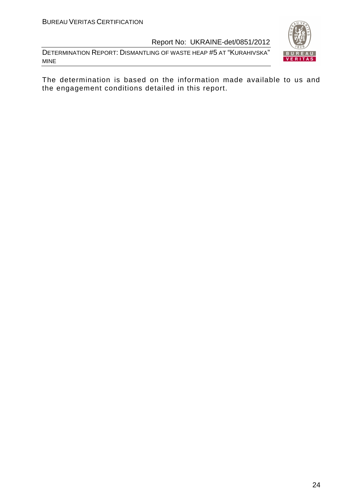DETERMINATION REPORT: DISMANTLING OF WASTE HEAP #5 AT "KURAHIVSKA" MINE



The determination is based on the information made available to us and the engagement conditions detailed in this report.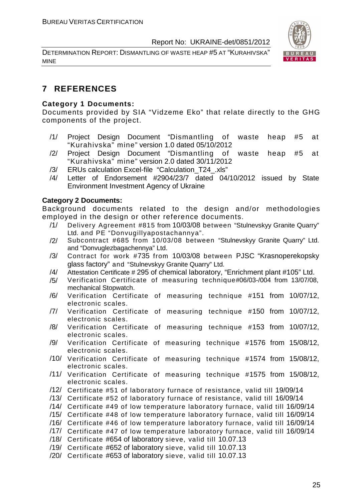DETERMINATION REPORT: DISMANTLING OF WASTE HEAP #5 AT "KURAHIVSKA" MINE



#### **7 REFERENCES**

#### **Category 1 Documents:**

Documents provided by SIA "Vidzeme Eko" that relate directly to the GHG components of the project.

- /1/ Project Design Document "Dismantling of waste heap #5 at "Kurahivska" mine" version 1.0 dated 05/10/2012
- /2/ Project Design Document "Dismantling of waste heap #5 at "Kurahivska" mine" version 2.0 dated 30/11/2012
- /3/ ERUs calculation Excel-file "Calculation\_T24\_.xls"
- /4/ Letter of Endorsement #2904/23/7 dated 04/10/2012 issued by State Environment Investment Agency of Ukraine

#### **Category 2 Documents:**

Background documents related to the design and/or methodologies employed in the design or other reference documents.

- /1/ Delivery Agreement #815 from 10/03/08 between "Stulnevskyy Granite Quarry" Ltd. and PE "Donvugillyapostachannya".
- /2/ Subcontract #685 from 10/03/08 between "Stulnevskyy Granite Quarry" Ltd. and "Donvuglezbagachennya" Ltd.
- /3/ Contract for work #735 from 10/03/08 between PJSC "Krasnoperekopsky glass factory" and "Stulnevskyy Granite Quarry" Ltd.
- /4/ Attestation Certificate # 295 of chemical laboratory, "Enrichment plant #105" Ltd.
- /5/ Verification Certificate of measuring technique#06/03-/004 from 13/07/08, mechanical Stopwatch.
- /6/ Verification Certificate of measuring technique #151 from 10/07/12, electronic scales.
- /7/ Verification Certificate of measuring technique #150 from 10/07/12, electronic scales.
- /8/ Verification Certificate of measuring technique #153 from 10/07/12, electronic scales.
- /9/ Verification Certificate of measuring technique #1576 from 15/08/12, electronic scales.
- /10/ Verification Certificate of measuring technique #1574 from 15/08/12, electronic scales.
- /11/ Verification Certificate of measuring technique #1575 from 15/08/12, electronic scales.
- /12/ Certificate #51 of laboratory furnace of resistance, valid till 19/09/14
- /13/ Certificate #52 of laboratory furnace of resistance, valid till 16/09/14
- /14/ Certificate #49 of low temperature laboratory furnace, valid till 16/09/14
- /15/ Certificate #48 of low temperature laboratory furnace, valid till 16/09/14
- /16/ Certificate #46 of low temperature laboratory furnace, valid till 16/09/14
- /17/ Certificate #47 of low temperature laboratory furnace, valid till 16/09/14
- /18/ Certificate #654 of laboratory sieve, valid till 10.07.13
- /19/ Certificate #652 of laboratory sieve, valid till 10.07.13
- /20/ Certificate #653 of laboratory sieve, valid till 10.07.13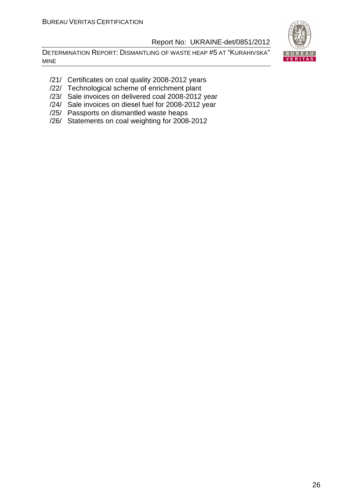DETERMINATION REPORT: DISMANTLING OF WASTE HEAP #5 AT "KURAHIVSKA" MINE



- /21/ Certificates on coal quality 2008-2012 years
- /22/ Technological scheme of enrichment plant
- /23/ Sale invoices on delivered coal 2008-2012 year
- /24/ Sale invoices on diesel fuel for 2008-2012 year
- /25/ Passports on dismantled waste heaps
- /26/ Statements on coal weighting for 2008-2012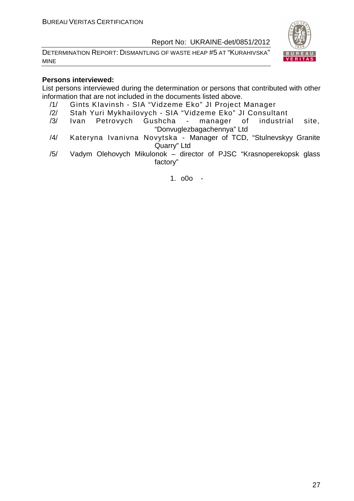DETERMINATION REPORT: DISMANTLING OF WASTE HEAP #5 AT "KURAHIVSKA" MINE



#### **Persons interviewed:**

List persons interviewed during the determination or persons that contributed with other information that are not included in the documents listed above.

- /1/ Gints KIavinsh SIA "Vidzeme Eko" JI Project Manager
- /2/ Stah Yuri Mykhailovych SIA "Vidzeme Eko" JI Consultant
- /3/ Ivan Petrovych Gushcha manager of industrial site, "Donvuglezbagachennya" Ltd
- /4/ Kateryna Ivanivna Novytska Manager of TCD, "Stulnevskyy Granite Quarry" Ltd
- /5/ Vadym Olehovych Mikulonok director of PJSC "Krasnoperekopsk glass factory"

1. o0o -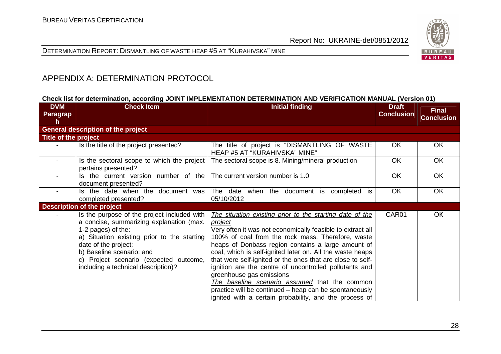

DETERMINATION REPORT: DISMANTLING OF WASTE HEAP #5 AT "KURAHIVSKA" MINE

#### APPENDIX A: DETERMINATION PROTOCOL

#### **Check list for determination, according JOINT IMPLEMENTATION DETERMINATION AND VERIFICATION MANUAL (Version 01)**

| <b>DVM</b><br>Paragrap<br>h | <b>Check Item</b>                                                                                                                                                                                                                                                                                  | <b>Initial finding</b>                                                                                                                                                                                                                                                                                                                                                                                                                                                                                                                                                                                                                    | <b>Draft</b><br><b>Conclusion</b> | <b>Final</b><br><b>Conclusion</b> |
|-----------------------------|----------------------------------------------------------------------------------------------------------------------------------------------------------------------------------------------------------------------------------------------------------------------------------------------------|-------------------------------------------------------------------------------------------------------------------------------------------------------------------------------------------------------------------------------------------------------------------------------------------------------------------------------------------------------------------------------------------------------------------------------------------------------------------------------------------------------------------------------------------------------------------------------------------------------------------------------------------|-----------------------------------|-----------------------------------|
|                             | <b>General description of the project</b>                                                                                                                                                                                                                                                          |                                                                                                                                                                                                                                                                                                                                                                                                                                                                                                                                                                                                                                           |                                   |                                   |
| Title of the project        |                                                                                                                                                                                                                                                                                                    |                                                                                                                                                                                                                                                                                                                                                                                                                                                                                                                                                                                                                                           |                                   |                                   |
|                             | Is the title of the project presented?                                                                                                                                                                                                                                                             | The title of project is "DISMANTLING OF WASTE<br><b>HEAP #5 AT "KURAHIVSKA" MINE"</b>                                                                                                                                                                                                                                                                                                                                                                                                                                                                                                                                                     | <b>OK</b>                         | <b>OK</b>                         |
|                             | Is the sectoral scope to which the project<br>pertains presented?                                                                                                                                                                                                                                  | The sectoral scope is 8. Mining/mineral production                                                                                                                                                                                                                                                                                                                                                                                                                                                                                                                                                                                        | OK                                | <b>OK</b>                         |
|                             | Is the current version number of the<br>document presented?                                                                                                                                                                                                                                        | The current version number is 1.0                                                                                                                                                                                                                                                                                                                                                                                                                                                                                                                                                                                                         | <b>OK</b>                         | <b>OK</b>                         |
|                             | Is the date when the document was<br>completed presented?                                                                                                                                                                                                                                          | The date when the document is completed is<br>05/10/2012                                                                                                                                                                                                                                                                                                                                                                                                                                                                                                                                                                                  | <b>OK</b>                         | <b>OK</b>                         |
|                             | <b>Description of the project</b>                                                                                                                                                                                                                                                                  |                                                                                                                                                                                                                                                                                                                                                                                                                                                                                                                                                                                                                                           |                                   |                                   |
|                             | Is the purpose of the project included with<br>a concise, summarizing explanation (max.<br>1-2 pages) of the:<br>a) Situation existing prior to the starting<br>date of the project;<br>b) Baseline scenario; and<br>c) Project scenario (expected outcome,<br>including a technical description)? | The situation existing prior to the starting date of the<br><i>project</i><br>Very often it was not economically feasible to extract all<br>100% of coal from the rock mass. Therefore, waste<br>heaps of Donbass region contains a large amount of<br>coal, which is self-ignited later on. All the waste heaps<br>that were self-ignited or the ones that are close to self-<br>ignition are the centre of uncontrolled pollutants and<br>greenhouse gas emissions<br>The baseline scenario assumed that the common<br>practice will be continued – heap can be spontaneously<br>ignited with a certain probability, and the process of | CAR01                             | <b>OK</b>                         |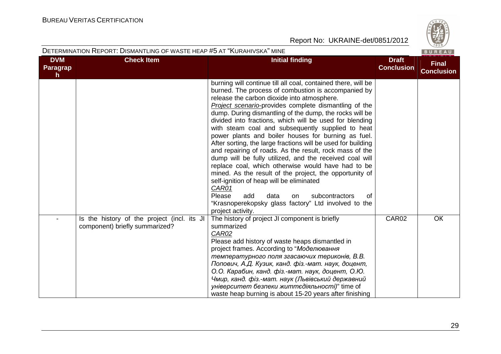

| <b>DVM</b>           | <b>Check Item</b>                                                             | <b>Initial finding</b>                                                                                                                                                                                                                                                                                                                                                                                                                                                                                                                                                                                                                                                                                                                                                                                                                                                                                                                                                | <b>Draft</b>      | <b>Final</b>      |
|----------------------|-------------------------------------------------------------------------------|-----------------------------------------------------------------------------------------------------------------------------------------------------------------------------------------------------------------------------------------------------------------------------------------------------------------------------------------------------------------------------------------------------------------------------------------------------------------------------------------------------------------------------------------------------------------------------------------------------------------------------------------------------------------------------------------------------------------------------------------------------------------------------------------------------------------------------------------------------------------------------------------------------------------------------------------------------------------------|-------------------|-------------------|
| <b>Paragrap</b><br>h |                                                                               |                                                                                                                                                                                                                                                                                                                                                                                                                                                                                                                                                                                                                                                                                                                                                                                                                                                                                                                                                                       | <b>Conclusion</b> | <b>Conclusion</b> |
|                      |                                                                               | burning will continue till all coal, contained there, will be<br>burned. The process of combustion is accompanied by<br>release the carbon dioxide into atmosphere.<br>Project scenario-provides complete dismantling of the<br>dump. During dismantling of the dump, the rocks will be<br>divided into fractions, which will be used for blending<br>with steam coal and subsequently supplied to heat<br>power plants and boiler houses for burning as fuel.<br>After sorting, the large fractions will be used for building<br>and repairing of roads. As the result, rock mass of the<br>dump will be fully utilized, and the received coal will<br>replace coal, which otherwise would have had to be<br>mined. As the result of the project, the opportunity of<br>self-ignition of heap will be eliminated<br>CAR01<br>Please<br>subcontractors<br>add<br>data<br>of<br><b>on</b><br>"Krasnoperekopsky glass factory" Ltd involved to the<br>project activity. |                   |                   |
|                      | Is the history of the project (incl. its JI<br>component) briefly summarized? | The history of project JI component is briefly<br>summarized<br>CAR02<br>Please add history of waste heaps dismantled in<br>project frames. According to "Моделювання<br>температурного поля згасаючих териконів, В.В.<br>Попович, А.Д. Кузик, канд. фіз.-мат. наук, доцент,<br>О.О. Карабин, канд. фіз.-мат. наук, доцент, О.Ю.<br>Чмир, канд. фіз.-мат. наук (Львівський державний<br>університет безпеки життєдіяльності)" time of<br>waste heap burning is about 15-20 years after finishing                                                                                                                                                                                                                                                                                                                                                                                                                                                                      | CAR02             | <b>OK</b>         |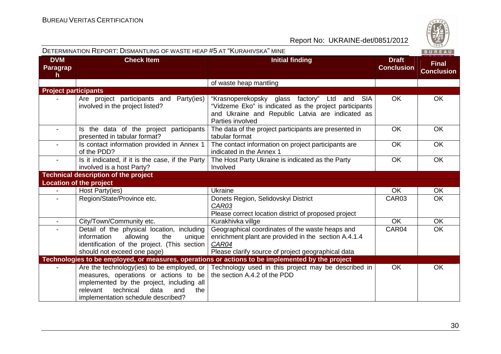|                                        | DETERMINATION REPORT: DISMANTLING OF WASTE HEAP #5 AT "KURAHIVSKA" MINE<br>BUREAU                                                                                                                                      |                                                                                                                                                                                |                                   |                                   |  |
|----------------------------------------|------------------------------------------------------------------------------------------------------------------------------------------------------------------------------------------------------------------------|--------------------------------------------------------------------------------------------------------------------------------------------------------------------------------|-----------------------------------|-----------------------------------|--|
| <b>DVM</b><br>Paragrap<br>$\mathsf{h}$ | <b>Check Item</b>                                                                                                                                                                                                      | <b>Initial finding</b>                                                                                                                                                         | <b>Draft</b><br><b>Conclusion</b> | <b>Final</b><br><b>Conclusion</b> |  |
|                                        |                                                                                                                                                                                                                        | of waste heap mantling                                                                                                                                                         |                                   |                                   |  |
| <b>Project participants</b>            |                                                                                                                                                                                                                        |                                                                                                                                                                                |                                   |                                   |  |
|                                        | Are project participants and Party(ies)<br>involved in the project listed?                                                                                                                                             | "Krasnoperekopsky glass factory" Ltd and SIA<br>"Vidzeme Eko" is indicated as the project participants<br>and Ukraine and Republic Latvia are indicated as<br>Parties involved | <b>OK</b>                         | <b>OK</b>                         |  |
|                                        | Is the data of the project participants<br>presented in tabular format?                                                                                                                                                | The data of the project participants are presented in<br>tabular format                                                                                                        | <b>OK</b>                         | <b>OK</b>                         |  |
| $\blacksquare$                         | Is contact information provided in Annex 1<br>of the PDD?                                                                                                                                                              | The contact information on project participants are<br>indicated in the Annex 1                                                                                                | OK                                | OK                                |  |
|                                        | Is it indicated, if it is the case, if the Party<br>involved is a host Party?                                                                                                                                          | The Host Party Ukraine is indicated as the Party<br>Involved                                                                                                                   | OK                                | OK                                |  |
|                                        | <b>Technical description of the project</b>                                                                                                                                                                            |                                                                                                                                                                                |                                   |                                   |  |
|                                        | <b>Location of the project</b>                                                                                                                                                                                         |                                                                                                                                                                                |                                   |                                   |  |
| $\blacksquare$                         | Host Party(ies)                                                                                                                                                                                                        | <b>Ukraine</b>                                                                                                                                                                 | <b>OK</b>                         | OK                                |  |
|                                        | Region/State/Province etc.                                                                                                                                                                                             | Donets Region, Selidovskyi District<br>CAR03<br>Please correct location district of proposed project                                                                           | CAR03                             | <b>OK</b>                         |  |
| $\blacksquare$                         | City/Town/Community etc.                                                                                                                                                                                               | Kurakhivka villge                                                                                                                                                              | <b>OK</b>                         | OK                                |  |
|                                        | Detail of the physical location, including<br>allowing<br>the<br>information<br>unique<br>identification of the project. (This section<br>should not exceed one page)                                                  | Geographical coordinates of the waste heaps and<br>enrichment plant are provided in the section A.4.1.4<br>CAR04<br>Please clarify source of project geographical data         | CAR04                             | OK                                |  |
|                                        |                                                                                                                                                                                                                        | Technologies to be employed, or measures, operations or actions to be implemented by the project                                                                               |                                   |                                   |  |
|                                        | Are the technology (ies) to be employed, or<br>measures, operations or actions to be<br>implemented by the project, including all<br>relevant<br>technical<br>data<br>and<br>the<br>implementation schedule described? | Technology used in this project may be described in<br>the section A.4.2 of the PDD                                                                                            | OK                                | OK                                |  |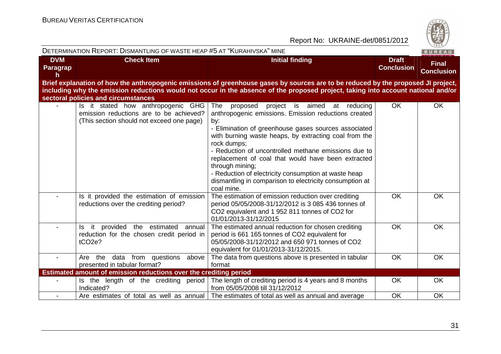

|                             | DETERMINATION REPORT: DISMANTLING OF WASTE HEAP #5 AT "KURAHIVSKA" MINE                                                    |                                                                                                                                                                                                                                                                                                                                                                                                                                                                                                                     |                                   | BUREAU                            |
|-----------------------------|----------------------------------------------------------------------------------------------------------------------------|---------------------------------------------------------------------------------------------------------------------------------------------------------------------------------------------------------------------------------------------------------------------------------------------------------------------------------------------------------------------------------------------------------------------------------------------------------------------------------------------------------------------|-----------------------------------|-----------------------------------|
| <b>DVM</b><br>Paragrap<br>h | <b>Check Item</b>                                                                                                          | <b>Initial finding</b>                                                                                                                                                                                                                                                                                                                                                                                                                                                                                              | <b>Draft</b><br><b>Conclusion</b> | <b>Final</b><br><b>Conclusion</b> |
|                             | sectoral policies and circumstances                                                                                        | Brief explanation of how the anthropogenic emissions of greenhouse gases by sources are to be reduced by the proposed JI project,<br>including why the emission reductions would not occur in the absence of the proposed project, taking into account national and/or                                                                                                                                                                                                                                              |                                   |                                   |
|                             | Is it stated how anthropogenic GHG<br>emission reductions are to be achieved?<br>(This section should not exceed one page) | The<br>project is aimed<br>proposed<br>at reducing<br>anthropogenic emissions. Emission reductions created<br>by:<br>- Elimination of greenhouse gases sources associated<br>with burning waste heaps, by extracting coal from the<br>rock dumps;<br>- Reduction of uncontrolled methane emissions due to<br>replacement of coal that would have been extracted<br>through mining;<br>- Reduction of electricity consumption at waste heap<br>dismantling in comparison to electricity consumption at<br>coal mine. | <b>OK</b>                         | OK                                |
|                             | Is it provided the estimation of emission<br>reductions over the crediting period?                                         | The estimation of emission reduction over crediting<br>period 05/05/2008-31/12/2012 is 3 085 436 tonnes of<br>CO2 equivalent and 1 952 811 tonnes of CO2 for<br>01/01/2013-31/12/2015                                                                                                                                                                                                                                                                                                                               | OK                                | <b>OK</b>                         |
|                             | Is it provided the estimated annual<br>reduction for the chosen credit period in<br>tCO <sub>2e</sub> ?                    | The estimated annual reduction for chosen crediting<br>period is 661 165 tonnes of CO2 equivalent for<br>05/05/2008-31/12/2012 and 650 971 tonnes of CO2<br>equivalent for 01/01/2013-31/12/2015.                                                                                                                                                                                                                                                                                                                   | <b>OK</b>                         | OK                                |
| $\blacksquare$              | data from<br>Are the<br>questions<br>above<br>presented in tabular format?                                                 | The data from questions above is presented in tabular<br>format                                                                                                                                                                                                                                                                                                                                                                                                                                                     | <b>OK</b>                         | OK                                |
|                             | Estimated amount of emission reductions over the crediting period                                                          |                                                                                                                                                                                                                                                                                                                                                                                                                                                                                                                     |                                   |                                   |
|                             | Is the length of the crediting period<br>Indicated?                                                                        | The length of crediting period is 4 years and 8 months<br>from 05/05/2008 till 31/12/2012                                                                                                                                                                                                                                                                                                                                                                                                                           | <b>OK</b>                         | OK                                |
|                             | Are estimates of total as well as annual                                                                                   | The estimates of total as well as annual and average                                                                                                                                                                                                                                                                                                                                                                                                                                                                | <b>OK</b>                         | OK                                |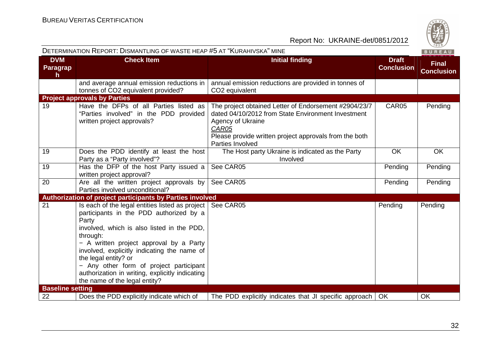|                              | DETERMINATION REPORT: DISMANTLING OF WASTE HEAP #5 AT "KURAHIVSKA" MINE                                                                                                                                                                                                                                                                                                                                          |                                                                                                                                                                                                                         |                                   | BUREAU                            |
|------------------------------|------------------------------------------------------------------------------------------------------------------------------------------------------------------------------------------------------------------------------------------------------------------------------------------------------------------------------------------------------------------------------------------------------------------|-------------------------------------------------------------------------------------------------------------------------------------------------------------------------------------------------------------------------|-----------------------------------|-----------------------------------|
| <b>DVM</b><br>Paragrap<br>h. | <b>Check Item</b>                                                                                                                                                                                                                                                                                                                                                                                                | <b>Initial finding</b>                                                                                                                                                                                                  | <b>Draft</b><br><b>Conclusion</b> | <b>Final</b><br><b>Conclusion</b> |
|                              | and average annual emission reductions in<br>tonnes of CO2 equivalent provided?                                                                                                                                                                                                                                                                                                                                  | annual emission reductions are provided in tonnes of<br>CO <sub>2</sub> equivalent                                                                                                                                      |                                   |                                   |
|                              | <b>Project approvals by Parties</b>                                                                                                                                                                                                                                                                                                                                                                              |                                                                                                                                                                                                                         |                                   |                                   |
| 19                           | Have the DFPs of all Parties listed as<br>"Parties involved" in the PDD provided<br>written project approvals?                                                                                                                                                                                                                                                                                                   | The project obtained Letter of Endorsement #2904/23/7<br>dated 04/10/2012 from State Environment Investment<br>Agency of Ukraine<br>CAR05<br>Please provide written project approvals from the both<br>Parties Involved | CAR05                             | Pending                           |
| 19                           | Does the PDD identify at least the host<br>Party as a "Party involved"?                                                                                                                                                                                                                                                                                                                                          | The Host party Ukraine is indicated as the Party<br>Involved                                                                                                                                                            | OK                                | OK                                |
| 19                           | Has the DFP of the host Party issued a<br>written project approval?                                                                                                                                                                                                                                                                                                                                              | See CAR05                                                                                                                                                                                                               | Pending                           | Pending                           |
| 20                           | Are all the written project approvals by<br>Parties involved unconditional?                                                                                                                                                                                                                                                                                                                                      | See CAR05                                                                                                                                                                                                               | Pending                           | Pending                           |
|                              | Authorization of project participants by Parties involved                                                                                                                                                                                                                                                                                                                                                        |                                                                                                                                                                                                                         |                                   |                                   |
| 21                           | Is each of the legal entities listed as project  <br>participants in the PDD authorized by a<br>Party<br>involved, which is also listed in the PDD,<br>through:<br>- A written project approval by a Party<br>involved, explicitly indicating the name of<br>the legal entity? or<br>- Any other form of project participant<br>authorization in writing, explicitly indicating<br>the name of the legal entity? | See CAR05                                                                                                                                                                                                               | Pending                           | Pending                           |
| <b>Baseline setting</b>      |                                                                                                                                                                                                                                                                                                                                                                                                                  |                                                                                                                                                                                                                         |                                   |                                   |
| 22                           | Does the PDD explicitly indicate which of                                                                                                                                                                                                                                                                                                                                                                        | The PDD explicitly indicates that JI specific approach   OK                                                                                                                                                             |                                   | OK                                |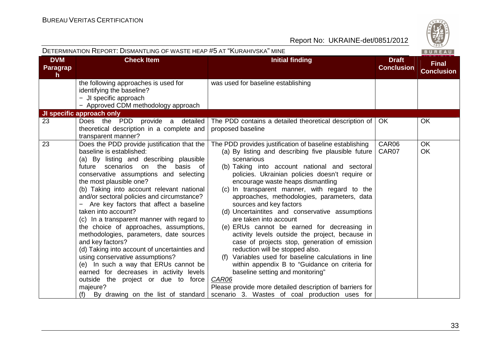|                             | DETERMINATION REPORT: DISMANTLING OF WASTE HEAP #5 AT "KURAHIVSKA" MINE                                                                                                                                                                                                                                                                                                                                                                                                                                                                                                                                                                                                                                                                                                                                                 |                                                                                                                                                                                                                                                                                                                                                                                                                                                                                                                                                                                                                                                                                                                                                                                                                                                                                                                                          |                                   | BUREAU                            |
|-----------------------------|-------------------------------------------------------------------------------------------------------------------------------------------------------------------------------------------------------------------------------------------------------------------------------------------------------------------------------------------------------------------------------------------------------------------------------------------------------------------------------------------------------------------------------------------------------------------------------------------------------------------------------------------------------------------------------------------------------------------------------------------------------------------------------------------------------------------------|------------------------------------------------------------------------------------------------------------------------------------------------------------------------------------------------------------------------------------------------------------------------------------------------------------------------------------------------------------------------------------------------------------------------------------------------------------------------------------------------------------------------------------------------------------------------------------------------------------------------------------------------------------------------------------------------------------------------------------------------------------------------------------------------------------------------------------------------------------------------------------------------------------------------------------------|-----------------------------------|-----------------------------------|
| <b>DVM</b><br>Paragrap<br>h | <b>Check Item</b>                                                                                                                                                                                                                                                                                                                                                                                                                                                                                                                                                                                                                                                                                                                                                                                                       | <b>Initial finding</b>                                                                                                                                                                                                                                                                                                                                                                                                                                                                                                                                                                                                                                                                                                                                                                                                                                                                                                                   | <b>Draft</b><br><b>Conclusion</b> | <b>Final</b><br><b>Conclusion</b> |
|                             | the following approaches is used for<br>identifying the baseline?<br>- JI specific approach<br>- Approved CDM methodology approach                                                                                                                                                                                                                                                                                                                                                                                                                                                                                                                                                                                                                                                                                      | was used for baseline establishing                                                                                                                                                                                                                                                                                                                                                                                                                                                                                                                                                                                                                                                                                                                                                                                                                                                                                                       |                                   |                                   |
|                             | JI specific approach only                                                                                                                                                                                                                                                                                                                                                                                                                                                                                                                                                                                                                                                                                                                                                                                               |                                                                                                                                                                                                                                                                                                                                                                                                                                                                                                                                                                                                                                                                                                                                                                                                                                                                                                                                          |                                   |                                   |
| 23                          | Does the PDD provide a detailed<br>theoretical description in a complete and<br>transparent manner?                                                                                                                                                                                                                                                                                                                                                                                                                                                                                                                                                                                                                                                                                                                     | The PDD contains a detailed theoretical description of<br>proposed baseline                                                                                                                                                                                                                                                                                                                                                                                                                                                                                                                                                                                                                                                                                                                                                                                                                                                              | <b>OK</b>                         | <b>OK</b>                         |
| 23                          | Does the PDD provide justification that the<br>baseline is established:<br>(a) By listing and describing plausible<br>future scenarios on the basis of<br>conservative assumptions and selecting<br>the most plausible one?<br>(b) Taking into account relevant national<br>and/or sectoral policies and circumstance?<br>- Are key factors that affect a baseline<br>taken into account?<br>(c) In a transparent manner with regard to<br>the choice of approaches, assumptions,<br>methodologies, parameters, date sources<br>and key factors?<br>(d) Taking into account of uncertainties and<br>using conservative assumptions?<br>(e) In such a way that ERUs cannot be<br>earned for decreases in activity levels<br>outside the project or due to force<br>majeure?<br>By drawing on the list of standard<br>(f) | The PDD provides justification of baseline establishing<br>(a) By listing and describing five plausible future<br>scenarious<br>(b) Taking into account national and sectoral<br>policies. Ukrainian policies doesn't require or<br>encourage waste heaps dismantling<br>(c) In transparent manner, with regard to the<br>approaches, methodologies, parameters, data<br>sources and key factors<br>(d) Uncertaintites and conservative assumptions<br>are taken into account<br>(e) ERUs cannot be earned for decreasing in<br>activity levels outside the project, because in<br>case of projects stop, generation of emission<br>reduction will be stopped also.<br>(f) Variables used for baseline calculations in line<br>within appendix B to "Guidance on criteria for<br>baseline setting and monitoring"<br>CAR06<br>Please provide more detailed description of barriers for<br>scenario 3. Wastes of coal production uses for | CAR06<br>CAR07                    | <b>OK</b><br>OK                   |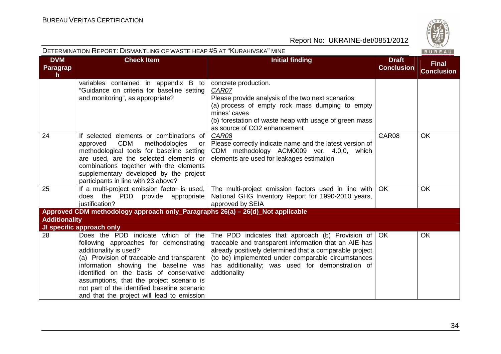

|                                     | DETERMINATION REPORT: DISMANTLING OF WASTE HEAP #5 AT "KURAHIVSKA" MINE<br>BUREAU                                                                                                                                                                                                                                                                                                  |                                                                                                                                                                                                                                                                                                            |                                   |                                   |  |
|-------------------------------------|------------------------------------------------------------------------------------------------------------------------------------------------------------------------------------------------------------------------------------------------------------------------------------------------------------------------------------------------------------------------------------|------------------------------------------------------------------------------------------------------------------------------------------------------------------------------------------------------------------------------------------------------------------------------------------------------------|-----------------------------------|-----------------------------------|--|
| <b>DVM</b><br><b>Paragrap</b><br>h. | <b>Check Item</b>                                                                                                                                                                                                                                                                                                                                                                  | <b>Initial finding</b>                                                                                                                                                                                                                                                                                     | <b>Draft</b><br><b>Conclusion</b> | <b>Final</b><br><b>Conclusion</b> |  |
|                                     | variables contained in appendix B to<br>"Guidance on criteria for baseline setting<br>and monitoring", as appropriate?                                                                                                                                                                                                                                                             | concrete production.<br>CAR07<br>Please provide analysis of the two next scenarios:<br>(a) process of empty rock mass dumping to empty<br>mines' caves<br>(b) forestation of waste heap with usage of green mass<br>as source of CO2 enhancement                                                           |                                   |                                   |  |
| 24                                  | If selected elements or combinations of<br><b>CDM</b><br>methodologies<br>approved<br>or<br>methodological tools for baseline setting<br>are used, are the selected elements or<br>combinations together with the elements<br>supplementary developed by the project<br>participants in line with 23 above?                                                                        | CAR08<br>Please correctly indicate name and the latest version of<br>CDM methodology ACM0009 ver. 4.0.0, which<br>elements are used for leakages estimation                                                                                                                                                | CAR08                             | <b>OK</b>                         |  |
| 25                                  | If a multi-project emission factor is used,<br>does the PDD provide appropriate<br>justification?                                                                                                                                                                                                                                                                                  | The multi-project emission factors used in line with<br>National GHG Inventory Report for 1990-2010 years,<br>approved by SEIA                                                                                                                                                                             | OK                                | OK                                |  |
|                                     | Approved CDM methodology approach only_Paragraphs 26(a) - 26(d)_Not applicable                                                                                                                                                                                                                                                                                                     |                                                                                                                                                                                                                                                                                                            |                                   |                                   |  |
| <b>Additionality</b>                |                                                                                                                                                                                                                                                                                                                                                                                    |                                                                                                                                                                                                                                                                                                            |                                   |                                   |  |
|                                     | JI specific approach only                                                                                                                                                                                                                                                                                                                                                          |                                                                                                                                                                                                                                                                                                            |                                   |                                   |  |
| 28                                  | Does the PDD indicate which of the<br>following approaches for demonstrating<br>additionality is used?<br>(a) Provision of traceable and transparent<br>information showing the baseline was<br>identified on the basis of conservative<br>assumptions, that the project scenario is<br>not part of the identified baseline scenario<br>and that the project will lead to emission | The PDD indicates that approach (b) Provision of $\sqrt{OK}$<br>traceable and transparent information that an AIE has<br>already positively determined that a comparable project<br>(to be) implemented under comparable circumstances<br>has additionality; was used for demonstration of<br>addtionality |                                   | <b>OK</b>                         |  |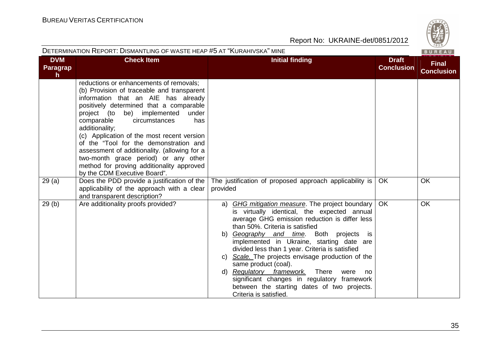|                             | <b>DETERMINATION REPORT: DISMANTLING OF WASTE HEAP #5 AT "KURAHIVSKA" MINE</b>                                                                                                                                                                                                                                                                                                                                                                                                                                                          |                                                                                                                                                                                                                                                                                                                                                                                                                                                                                                                                                                                                             |                                   | $\vee$ 829/<br>BUREAU             |
|-----------------------------|-----------------------------------------------------------------------------------------------------------------------------------------------------------------------------------------------------------------------------------------------------------------------------------------------------------------------------------------------------------------------------------------------------------------------------------------------------------------------------------------------------------------------------------------|-------------------------------------------------------------------------------------------------------------------------------------------------------------------------------------------------------------------------------------------------------------------------------------------------------------------------------------------------------------------------------------------------------------------------------------------------------------------------------------------------------------------------------------------------------------------------------------------------------------|-----------------------------------|-----------------------------------|
| <b>DVM</b><br>Paragrap<br>h | <b>Check Item</b>                                                                                                                                                                                                                                                                                                                                                                                                                                                                                                                       | <b>Initial finding</b>                                                                                                                                                                                                                                                                                                                                                                                                                                                                                                                                                                                      | <b>Draft</b><br><b>Conclusion</b> | <b>Final</b><br><b>Conclusion</b> |
|                             | reductions or enhancements of removals;<br>(b) Provision of traceable and transparent<br>information that an AIE has already<br>positively determined that a comparable<br>be) implemented<br>under<br>project (to<br>comparable<br>circumstances<br>has<br>additionality;<br>(c) Application of the most recent version<br>of the "Tool for the demonstration and<br>assessment of additionality. (allowing for a<br>two-month grace period) or any other<br>method for proving additionality approved<br>by the CDM Executive Board". |                                                                                                                                                                                                                                                                                                                                                                                                                                                                                                                                                                                                             |                                   |                                   |
| 29(a)                       | Does the PDD provide a justification of the<br>applicability of the approach with a clear<br>and transparent description?                                                                                                                                                                                                                                                                                                                                                                                                               | The justification of proposed approach applicability is<br>provided                                                                                                                                                                                                                                                                                                                                                                                                                                                                                                                                         | OK.                               | <b>OK</b>                         |
| 29(b)                       | Are additionality proofs provided?                                                                                                                                                                                                                                                                                                                                                                                                                                                                                                      | <b>GHG mitigation measure.</b> The project boundary<br>a)<br>is virtually identical, the expected annual<br>average GHG emission reduction is differ less<br>than 50%. Criteria is satisfied<br>Geography and time. Both projects<br>b)<br>is is<br>implemented in Ukraine, starting date are<br>divided less than 1 year. Criteria is satisfied<br>c) Scale. The projects envisage production of the<br>same product (coal).<br>Regulatory framework.<br>There<br>d)<br>were<br>no<br>significant changes in regulatory framework<br>between the starting dates of two projects.<br>Criteria is satisfied. | <b>OK</b>                         | OK                                |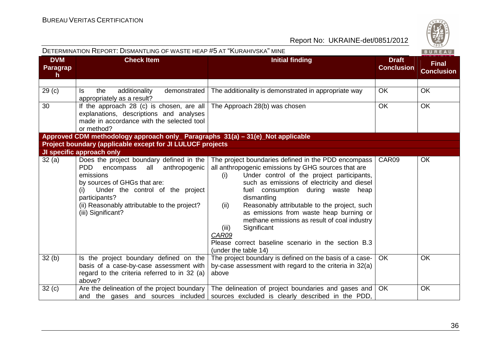

|                                                            | DETERMINATION REPORT: DISMANTLING OF WASTE HEAP #5 AT "KURAHIVSKA" MINE                                                                                                                                                                                           |                                                                                                                                                                                                                                                                                                                                                                                                                                                                                                                                           | BUREAU                            |                                   |
|------------------------------------------------------------|-------------------------------------------------------------------------------------------------------------------------------------------------------------------------------------------------------------------------------------------------------------------|-------------------------------------------------------------------------------------------------------------------------------------------------------------------------------------------------------------------------------------------------------------------------------------------------------------------------------------------------------------------------------------------------------------------------------------------------------------------------------------------------------------------------------------------|-----------------------------------|-----------------------------------|
| <b>DVM</b><br><b>Paragrap</b><br>$\mathsf{h}$              | <b>Check Item</b>                                                                                                                                                                                                                                                 | <b>Initial finding</b>                                                                                                                                                                                                                                                                                                                                                                                                                                                                                                                    | <b>Draft</b><br><b>Conclusion</b> | <b>Final</b><br><b>Conclusion</b> |
|                                                            |                                                                                                                                                                                                                                                                   |                                                                                                                                                                                                                                                                                                                                                                                                                                                                                                                                           |                                   |                                   |
| 29 <sub>(c)</sub>                                          | the<br>additionality<br>demonstrated<br>ls.<br>appropriately as a result?                                                                                                                                                                                         | The additionality is demonstrated in appropriate way                                                                                                                                                                                                                                                                                                                                                                                                                                                                                      | <b>OK</b>                         | <b>OK</b>                         |
| 30                                                         | If the approach 28 (c) is chosen, are all<br>explanations, descriptions and analyses<br>made in accordance with the selected tool<br>or method?                                                                                                                   | The Approach 28(b) was chosen                                                                                                                                                                                                                                                                                                                                                                                                                                                                                                             | <b>OK</b>                         | <b>OK</b>                         |
|                                                            | Approved CDM methodology approach only_ Paragraphs 31(a) - 31(e)_Not applicable                                                                                                                                                                                   |                                                                                                                                                                                                                                                                                                                                                                                                                                                                                                                                           |                                   |                                   |
| Project boundary (applicable except for JI LULUCF projects |                                                                                                                                                                                                                                                                   |                                                                                                                                                                                                                                                                                                                                                                                                                                                                                                                                           |                                   |                                   |
|                                                            | JI specific approach only                                                                                                                                                                                                                                         |                                                                                                                                                                                                                                                                                                                                                                                                                                                                                                                                           |                                   |                                   |
| 32(a)                                                      | Does the project boundary defined in the<br>all anthropogenic<br>PDD.<br>encompass<br>emissions<br>by sources of GHGs that are:<br>Under the control of the project<br>(i)<br>participants?<br>(ii) Reasonably attributable to the project?<br>(iii) Significant? | The project boundaries defined in the PDD encompass<br>all anthropogenic emissions by GHG sources that are<br>Under control of the project participants,<br>(i)<br>such as emissions of electricity and diesel<br>fuel consumption during waste<br>heap<br>dismantling<br>Reasonably attributable to the project, such<br>(ii)<br>as emissions from waste heap burning or<br>methane emissions as result of coal industry<br>Significant<br>(iii)<br>CAR09<br>Please correct baseline scenario in the section B.3<br>(under the table 14) | CAR09                             | OК                                |
| 32(b)                                                      | Is the project boundary defined on the<br>basis of a case-by-case assessment with<br>regard to the criteria referred to in 32 (a)<br>above?                                                                                                                       | The project boundary is defined on the basis of a case-<br>by-case assessment with regard to the criteria in 32(a)<br>above                                                                                                                                                                                                                                                                                                                                                                                                               | OK.                               | <b>OK</b>                         |
| 32(c)                                                      | Are the delineation of the project boundary<br>and the gases and sources included                                                                                                                                                                                 | The delineation of project boundaries and gases and<br>sources excluded is clearly described in the PDD,                                                                                                                                                                                                                                                                                                                                                                                                                                  | <b>OK</b>                         | <b>OK</b>                         |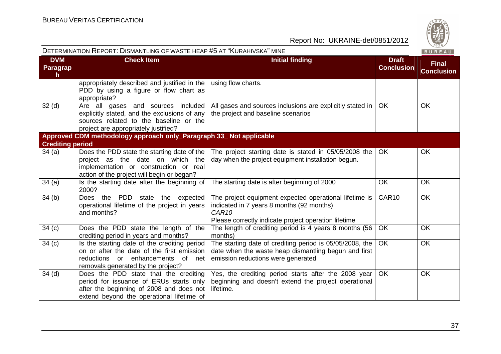|                                        | DETERMINATION REPORT: DISMANTLING OF WASTE HEAP #5 AT "KURAHIVSKA" MINE                                                                                                           |                                                                                                                                                                                  |                                   | BUREAU                            |
|----------------------------------------|-----------------------------------------------------------------------------------------------------------------------------------------------------------------------------------|----------------------------------------------------------------------------------------------------------------------------------------------------------------------------------|-----------------------------------|-----------------------------------|
| <b>DVM</b><br>Paragrap<br>$\mathsf{h}$ | <b>Check Item</b>                                                                                                                                                                 | <b>Initial finding</b>                                                                                                                                                           | <b>Draft</b><br><b>Conclusion</b> | <b>Final</b><br><b>Conclusion</b> |
|                                        | appropriately described and justified in the<br>PDD by using a figure or flow chart as<br>appropriate?                                                                            | using flow charts.                                                                                                                                                               |                                   |                                   |
| 32 <sub>(d)</sub>                      | Are all gases and sources included<br>explicitly stated, and the exclusions of any<br>sources related to the baseline or the<br>project are appropriately justified?              | All gases and sources inclusions are explicitly stated in<br>the project and baseline scenarios                                                                                  | <b>OK</b>                         | OK                                |
|                                        | Approved CDM methodology approach only_Paragraph 33_Not applicable                                                                                                                |                                                                                                                                                                                  |                                   |                                   |
| <b>Crediting period</b>                |                                                                                                                                                                                   |                                                                                                                                                                                  |                                   |                                   |
| 34(a)                                  | Does the PDD state the starting date of the<br>project as the date on which the<br>implementation or construction or real<br>action of the project will begin or began?           | The project starting date is stated in 05/05/2008 the<br>day when the project equipment installation begun.                                                                      | OK                                | <b>OK</b>                         |
| 34(a)                                  | Is the starting date after the beginning of<br>2000?                                                                                                                              | The starting date is after beginning of 2000                                                                                                                                     | <b>OK</b>                         | <b>OK</b>                         |
| 34(b)                                  | Does the PDD<br>state<br>expected<br>the<br>operational lifetime of the project in years<br>and months?                                                                           | The project equipment expected operational lifetime is<br>indicated in 7 years 8 months (92 months)<br>CAR <sub>10</sub><br>Please correctly indicate project operation lifetime | CAR10                             | OK                                |
| 34 <sub>(c)</sub>                      | Does the PDD state the length of the<br>crediting period in years and months?                                                                                                     | The length of crediting period is 4 years 8 months (56<br>months)                                                                                                                | OK                                | OK                                |
| 34 <sub>(c)</sub>                      | Is the starting date of the crediting period<br>on or after the date of the first emission<br>enhancements<br>reductions<br>of<br>or<br>net<br>removals generated by the project? | The starting date of crediting period is 05/05/2008, the<br>date when the waste heap dismantling begun and first<br>emission reductions were generated                           | OK                                | OK                                |
| 34 <sub>(d)</sub>                      | Does the PDD state that the crediting<br>period for issuance of ERUs starts only<br>after the beginning of 2008 and does not<br>extend beyond the operational lifetime of         | Yes, the crediting period starts after the 2008 year<br>beginning and doesn't extend the project operational<br>lifetime.                                                        | <b>OK</b>                         | OK                                |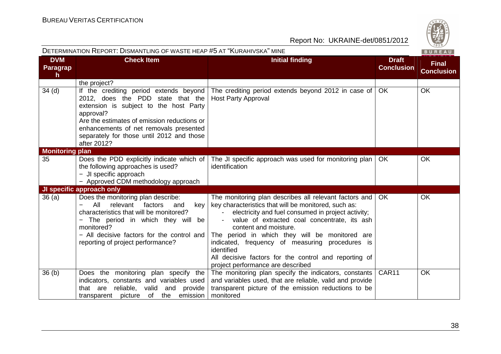|                                               | DETERMINATION REPORT: DISMANTLING OF WASTE HEAP #5 AT "KURAHIVSKA" MINE                                                                                                                                                                                                                                                |                                                                                                                                                                                                                                                                                                                                                                                                                                                                |                                   | BUREAU                            |
|-----------------------------------------------|------------------------------------------------------------------------------------------------------------------------------------------------------------------------------------------------------------------------------------------------------------------------------------------------------------------------|----------------------------------------------------------------------------------------------------------------------------------------------------------------------------------------------------------------------------------------------------------------------------------------------------------------------------------------------------------------------------------------------------------------------------------------------------------------|-----------------------------------|-----------------------------------|
| <b>DVM</b><br><b>Paragrap</b><br>$\mathsf{h}$ | <b>Check Item</b>                                                                                                                                                                                                                                                                                                      | <b>Initial finding</b>                                                                                                                                                                                                                                                                                                                                                                                                                                         | <b>Draft</b><br><b>Conclusion</b> | <b>Final</b><br><b>Conclusion</b> |
|                                               | the project?                                                                                                                                                                                                                                                                                                           |                                                                                                                                                                                                                                                                                                                                                                                                                                                                |                                   |                                   |
| $34$ (d)                                      | If the crediting period extends beyond<br>2012, does the PDD state that the<br>extension is subject to the host Party<br>approval?<br>Are the estimates of emission reductions or<br>enhancements of net removals presented<br>separately for those until 2012 and those<br>after 2012?                                | The crediting period extends beyond 2012 in case of<br><b>Host Party Approval</b>                                                                                                                                                                                                                                                                                                                                                                              | <b>OK</b>                         | OK                                |
| <b>Monitoring plan</b>                        |                                                                                                                                                                                                                                                                                                                        |                                                                                                                                                                                                                                                                                                                                                                                                                                                                |                                   |                                   |
| 35                                            | Does the PDD explicitly indicate which of<br>the following approaches is used?<br>- JI specific approach<br>- Approved CDM methodology approach                                                                                                                                                                        | The JI specific approach was used for monitoring plan<br>identification                                                                                                                                                                                                                                                                                                                                                                                        | <b>OK</b>                         | OK                                |
|                                               | JI specific approach only                                                                                                                                                                                                                                                                                              |                                                                                                                                                                                                                                                                                                                                                                                                                                                                |                                   |                                   |
| 36(a)                                         | Does the monitoring plan describe:<br>All<br>relevant<br>factors<br>key<br>and<br>$\overline{\phantom{0}}$<br>characteristics that will be monitored?<br>The period in which they will be<br>$\overline{\phantom{0}}$<br>monitored?<br>- All decisive factors for the control and<br>reporting of project performance? | The monitoring plan describes all relevant factors and<br>key characteristics that will be monitored, such as:<br>electricity and fuel consumed in project activity;<br>value of extracted coal concentrate, its ash<br>content and moisture.<br>The period in which they will be monitored are<br>indicated, frequency of measuring procedures is<br>identified<br>All decisive factors for the control and reporting of<br>project performance are described | OK                                | OK                                |
| 36(b)                                         | Does the monitoring plan specify the<br>indicators, constants and variables used<br>that are reliable, valid<br>and provide<br>transparent picture of<br>the emission                                                                                                                                                  | The monitoring plan specify the indicators, constants<br>and variables used, that are reliable, valid and provide<br>transparent picture of the emission reductions to be<br>monitored                                                                                                                                                                                                                                                                         | CAR11                             | OK                                |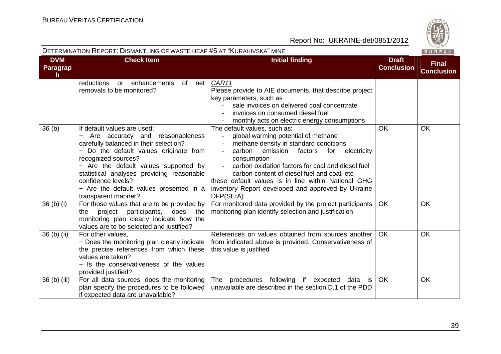

|                                     | DETERMINATION REPORT: DISMANTLING OF WASTE HEAP #5 AT "KURAHIVSKA" MINE<br>BUREAU                                                                                                                                                                                                                                                                       |                                                                                                                                                                                                                                                                                                                                                                                                                   |                                   |                                   |
|-------------------------------------|---------------------------------------------------------------------------------------------------------------------------------------------------------------------------------------------------------------------------------------------------------------------------------------------------------------------------------------------------------|-------------------------------------------------------------------------------------------------------------------------------------------------------------------------------------------------------------------------------------------------------------------------------------------------------------------------------------------------------------------------------------------------------------------|-----------------------------------|-----------------------------------|
| <b>DVM</b><br><b>Paragrap</b><br>h. | <b>Check Item</b>                                                                                                                                                                                                                                                                                                                                       | <b>Initial finding</b>                                                                                                                                                                                                                                                                                                                                                                                            | <b>Draft</b><br><b>Conclusion</b> | <b>Final</b><br><b>Conclusion</b> |
|                                     | enhancements<br>of<br>reductions<br>net<br>or<br>removals to be monitored?                                                                                                                                                                                                                                                                              | CAR11<br>Please provide to AIE documents, that describe project<br>key parameters, such as<br>sale invoices on delivered coal concentrate<br>invoices on consumed diesel fuel<br>monthly acts on electric energy consumptions                                                                                                                                                                                     |                                   |                                   |
| 36 <sub>(b)</sub>                   | If default values are used:<br>Are accuracy and reasonableness<br>carefully balanced in their selection?<br>- Do the default values originate from<br>recognized sources?<br>- Are the default values supported by<br>statistical analyses providing reasonable<br>confidence levels?<br>- Are the default values presented in a<br>transparent manner? | The default values, such as:<br>global warming potential of methane<br>methane density in standard conditions<br>carbon<br>emission<br>electricity<br>factors<br>for<br>consumption<br>carbon oxidation factors for coal and diesel fuel<br>carbon content of diesel fuel and coal, etc<br>these default values is in line within National GHG<br>inventory Report developed and approved by Ukraine<br>DFP(SEIA) | <b>OK</b>                         | OK                                |
| $36$ (b) (i)                        | For those values that are to be provided by<br>project participants,<br>does the<br>the<br>monitoring plan clearly indicate how the<br>values are to be selected and justified?                                                                                                                                                                         | For monitored data provided by the project participants<br>monitoring plan identify selection and justification                                                                                                                                                                                                                                                                                                   | OK                                | <b>OK</b>                         |
| 36 (b) (ii)                         | For other values,<br>- Does the monitoring plan clearly indicate<br>the precise references from which these<br>values are taken?<br>- Is the conservativeness of the values<br>provided justified?                                                                                                                                                      | References on values obtained from sources another<br>from indicated above is provided. Conservativeness of<br>this value is justified                                                                                                                                                                                                                                                                            | <b>OK</b>                         | <b>OK</b>                         |
| 36 (b) (iii)                        | For all data sources, does the monitoring<br>plan specify the procedures to be followed<br>if expected data are unavailable?                                                                                                                                                                                                                            | The procedures following<br>if expected<br>data is<br>unavailable are described in the section D.1 of the PDD                                                                                                                                                                                                                                                                                                     | <b>OK</b>                         | <b>OK</b>                         |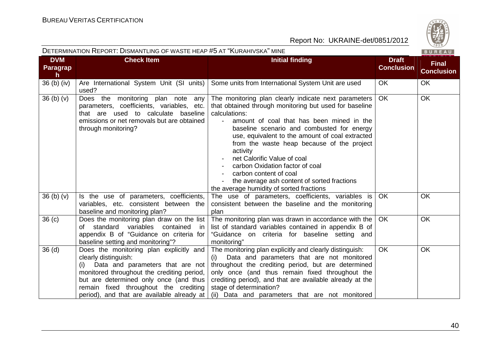|                                        | DETERMINATION REPORT: DISMANTLING OF WASTE HEAP #5 AT "KURAHIVSKA" MINE                                                                                                                                                                                                                |                                                                                                                                                                                                                                                                                                                                                                                                                                                                                                                                                   |                                   | BUREAU                            |
|----------------------------------------|----------------------------------------------------------------------------------------------------------------------------------------------------------------------------------------------------------------------------------------------------------------------------------------|---------------------------------------------------------------------------------------------------------------------------------------------------------------------------------------------------------------------------------------------------------------------------------------------------------------------------------------------------------------------------------------------------------------------------------------------------------------------------------------------------------------------------------------------------|-----------------------------------|-----------------------------------|
| <b>DVM</b><br>Paragrap<br>$\mathsf{h}$ | <b>Check Item</b>                                                                                                                                                                                                                                                                      | <b>Initial finding</b>                                                                                                                                                                                                                                                                                                                                                                                                                                                                                                                            | <b>Draft</b><br><b>Conclusion</b> | <b>Final</b><br><b>Conclusion</b> |
| $36$ (b) (iv)                          | Are International System Unit (SI units)<br>used?                                                                                                                                                                                                                                      | Some units from International System Unit are used                                                                                                                                                                                                                                                                                                                                                                                                                                                                                                | OK                                | <b>OK</b>                         |
| 36 <sub>(b)</sub> <sub>(v)</sub>       | Does the monitoring plan note any<br>parameters, coefficients, variables, etc.<br>that are used to calculate baseline<br>emissions or net removals but are obtained<br>through monitoring?                                                                                             | The monitoring plan clearly indicate next parameters<br>that obtained through monitoring but used for baseline<br>calculations:<br>amount of coal that has been mined in the<br>$\sim$ 10 $\pm$<br>baseline scenario and combusted for energy<br>use, equivalent to the amount of coal extracted<br>from the waste heap because of the project<br>activity<br>net Calorific Value of coal<br>carbon Oxidation factor of coal<br>carbon content of coal<br>the average ash content of sorted fractions<br>the average humidity of sorted fractions | <b>OK</b>                         | <b>OK</b>                         |
| 36 <sub>(b)</sub> <sub>(v)</sub>       | Is the use of parameters, coefficients,<br>variables, etc. consistent between the<br>baseline and monitoring plan?                                                                                                                                                                     | The use of parameters, coefficients, variables is<br>consistent between the baseline and the monitoring<br>plan                                                                                                                                                                                                                                                                                                                                                                                                                                   | <b>OK</b>                         | <b>OK</b>                         |
| 36 <sub>(c)</sub>                      | Does the monitoring plan draw on the list<br>variables<br>of standard<br>contained<br>in<br>appendix B of "Guidance on criteria for<br>baseline setting and monitoring"?                                                                                                               | The monitoring plan was drawn in accordance with the  <br>list of standard variables contained in appendix B of<br>"Guidance on criteria for baseline setting and<br>monitoring"                                                                                                                                                                                                                                                                                                                                                                  | <b>OK</b>                         | OK                                |
| 36 <sub>(d)</sub>                      | Does the monitoring plan explicitly and<br>clearly distinguish:<br>(i) Data and parameters that are not<br>monitored throughout the crediting period,<br>but are determined only once (and thus<br>remain fixed throughout the crediting<br>period), and that are available already at | The monitoring plan explicitly and clearly distinguish:<br>Data and parameters that are not monitored<br>(i)<br>throughout the crediting period, but are determined<br>only once (and thus remain fixed throughout the<br>crediting period), and that are available already at the<br>stage of determination?<br>(ii) Data and parameters that are not monitored                                                                                                                                                                                  | <b>OK</b>                         | <b>OK</b>                         |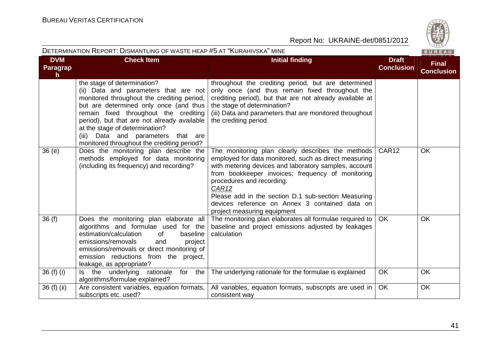

|                             | DETERMINATION REPORT: DISMANTLING OF WASTE HEAP #5 AT "KURAHIVSKA" MINE                                                                                                                                                                                                                                                                                                       |                                                                                                                                                                                                                                                                                                                                                                                                        |                                   | BUREAU                            |
|-----------------------------|-------------------------------------------------------------------------------------------------------------------------------------------------------------------------------------------------------------------------------------------------------------------------------------------------------------------------------------------------------------------------------|--------------------------------------------------------------------------------------------------------------------------------------------------------------------------------------------------------------------------------------------------------------------------------------------------------------------------------------------------------------------------------------------------------|-----------------------------------|-----------------------------------|
| <b>DVM</b><br>Paragrap<br>h | <b>Check Item</b>                                                                                                                                                                                                                                                                                                                                                             | <b>Initial finding</b>                                                                                                                                                                                                                                                                                                                                                                                 | <b>Draft</b><br><b>Conclusion</b> | <b>Final</b><br><b>Conclusion</b> |
|                             | the stage of determination?<br>(ii) Data and parameters that are not<br>monitored throughout the crediting period,<br>but are determined only once (and thus<br>remain fixed throughout the crediting<br>period), but that are not already available<br>at the stage of determination?<br>Data and parameters that are<br>(iii)<br>monitored throughout the crediting period? | throughout the crediting period, but are determined<br>only once (and thus remain fixed throughout the<br>crediting period), but that are not already available at<br>the stage of determination?<br>(iii) Data and parameters that are monitored throughout<br>the crediting period.                                                                                                                  |                                   |                                   |
| 36(e)                       | Does the monitoring plan describe the<br>methods employed for data monitoring<br>(including its frequency) and recording?                                                                                                                                                                                                                                                     | The monitoring plan clearly describes the methods<br>employed for data monitored, such as direct measuring<br>with metering devices and laboratory samples, account<br>from bookkeeper invoices; frequency of monitoring<br>procedures and recording.<br>CAR12<br>Please add in the section D.1 sub-section Measuring<br>devices reference on Annex 3 contained data on<br>project measuring equipment | CAR <sub>12</sub>                 | <b>OK</b>                         |
| 36(f)                       | Does the monitoring plan elaborate all<br>algorithms and formulae used for the<br>estimation/calculation<br>baseline<br>0f<br>emissions/removals<br>project<br>and<br>emissions/removals or direct monitoring of<br>emission reductions from the project,<br>leakage, as appropriate?                                                                                         | The monitoring plan elaborates all formulae required to<br>baseline and project emissions adjusted by leakages<br>calculation                                                                                                                                                                                                                                                                          | <b>OK</b>                         | <b>OK</b>                         |
| 36 (f) (i)                  | Is the underlying rationale<br>for<br>the<br>algorithms/formulae explained?                                                                                                                                                                                                                                                                                                   | The underlying rationale for the formulae is explained                                                                                                                                                                                                                                                                                                                                                 | <b>OK</b>                         | OK                                |
| 36 (f) (ii)                 | Are consistent variables, equation formats,<br>subscripts etc. used?                                                                                                                                                                                                                                                                                                          | All variables, equation formats, subscripts are used in<br>consistent way                                                                                                                                                                                                                                                                                                                              | <b>OK</b>                         | OK                                |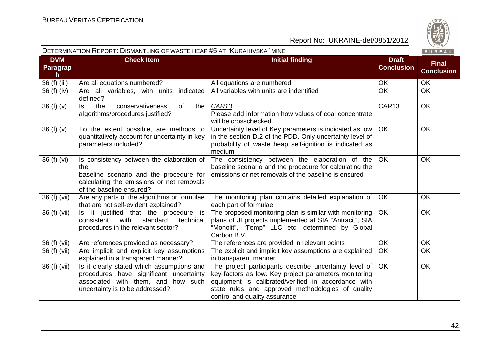

|                              | DETERMINATION REPORT: DISMANTLING OF WASTE HEAP #5 AT "KURAHIVSKA" MINE                                                                                              |                                                                                                                                                                                                                                                              |                                   | BUREAU                            |
|------------------------------|----------------------------------------------------------------------------------------------------------------------------------------------------------------------|--------------------------------------------------------------------------------------------------------------------------------------------------------------------------------------------------------------------------------------------------------------|-----------------------------------|-----------------------------------|
| <b>DVM</b><br>Paragrap<br>h. | <b>Check Item</b>                                                                                                                                                    | <b>Initial finding</b>                                                                                                                                                                                                                                       | <b>Draft</b><br><b>Conclusion</b> | <b>Final</b><br><b>Conclusion</b> |
| 36 (f) (iii)                 | Are all equations numbered?                                                                                                                                          | All equations are numbered                                                                                                                                                                                                                                   | OK                                | OK                                |
| 36 (f) (iv)                  | Are all variables, with units<br>indicated<br>defined?                                                                                                               | All variables with units are indentified                                                                                                                                                                                                                     | <b>OK</b>                         | OK                                |
| 36(f)(v)                     | the<br>conservativeness<br>of<br>the<br>ls.<br>algorithms/procedures justified?                                                                                      | CAR <sub>13</sub><br>Please add information how values of coal concentrate<br>will be crosschecked                                                                                                                                                           | CAR13                             | <b>OK</b>                         |
| 36(f)(v)                     | To the extent possible, are methods to<br>quantitatively account for uncertainty in key<br>parameters included?                                                      | Uncertainty level of Key parameters is indicated as low<br>in the section D.2 of the PDD. Only uncertainty level of<br>probability of waste heap self-ignition is indicated as<br>medium                                                                     | <b>OK</b>                         | OK                                |
| 36 (f) (vi)                  | Is consistency between the elaboration of<br>the<br>baseline scenario and the procedure for<br>calculating the emissions or net removals<br>of the baseline ensured? | The consistency between the elaboration of the<br>baseline scenario and the procedure for calculating the<br>emissions or net removals of the baseline is ensured                                                                                            | OK                                | OK                                |
| 36 (f) (vii)                 | Are any parts of the algorithms or formulae<br>that are not self-evident explained?                                                                                  | The monitoring plan contains detailed explanation of<br>each part of formulae                                                                                                                                                                                | OK                                | OK                                |
| 36 (f) (vii)                 | Is it justified that the procedure is<br>with<br>standard<br>consistent<br>technical<br>procedures in the relevant sector?                                           | The proposed monitoring plan is similar with monitoring<br>plans of JI projects implemented at SIA "Antracit", SIA<br>"Monolit", "Temp" LLC etc, determined by Global<br>Carbon B.V.                                                                         | <b>OK</b>                         | OK                                |
| 36 (f) (vii)                 | Are references provided as necessary?                                                                                                                                | The references are provided in relevant points                                                                                                                                                                                                               | <b>OK</b>                         | <b>OK</b>                         |
| 36 (f) (vii)                 | Are implicit and explicit key assumptions<br>explained in a transparent manner?                                                                                      | The explicit and implicit key assumptions are explained<br>in transparent manner                                                                                                                                                                             | OK                                | OK                                |
| 36 (f) (vii)                 | Is it clearly stated which assumptions and<br>procedures have significant uncertainty<br>associated with them, and how such<br>uncertainty is to be addressed?       | The project participants describe uncertainty level of<br>key factors as low. Key project parameters monitoring<br>equipment is calibrated/verified in accordance with<br>state rules and approved methodologies of quality<br>control and quality assurance | <b>OK</b>                         | OK                                |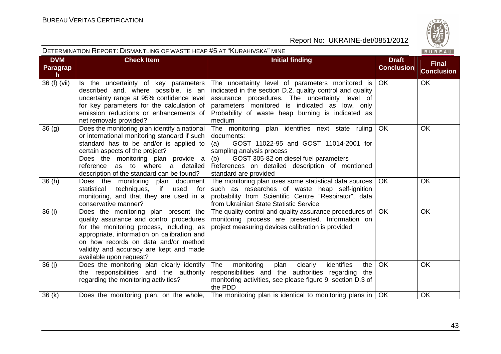

**Final Conclusion**

**Conclusion**

OK OK

#### Report No: UKRAINE-det/0851/2012

| <b>DVM</b><br><b>Paragrap</b><br><b>h</b> | <b>Check Item</b>                                                                                                                                                                                                                          | Initial finding                                                                                                                                                                                                                                                                  | <b>Draft</b><br><b>Conclusi</b> |
|-------------------------------------------|--------------------------------------------------------------------------------------------------------------------------------------------------------------------------------------------------------------------------------------------|----------------------------------------------------------------------------------------------------------------------------------------------------------------------------------------------------------------------------------------------------------------------------------|---------------------------------|
| 36 (f) (vii)                              | Is the uncertainty of key parameters<br>described and, where possible, is an<br>uncertainty range at 95% confidence level<br>for key parameters for the calculation of<br>emission reductions or enhancements of<br>net removals provided? | The uncertainty level of parameters monitored is<br>indicated in the section D.2, quality control and quality<br>assurance procedures. The uncertainty level of<br>parameters monitored is indicated as low, only<br>Probability of waste heap burning is indicated as<br>medium | OK                              |
| 36(q)                                     | or international monitoring standard if such                                                                                                                                                                                               | Does the monitoring plan identify a national   The monitoring plan identifies next state ruling  <br>documents:<br>standard has to be and/or is applied to $\vert$ (a) GOST 11022-95 and GOST 11014-2001 for                                                                     | -OK                             |

DETERMINATION REPORT: DISMANTLING OF WASTE HEAP #5 AT "KURAHIVSKA" MINE

|                   | emission requalitions or emiancements or<br>net removals provided?                                                                                                                                                                                                                                | Propability of waste fleap burning is indicated as<br>medium                                                                                                                                                                                                         |           |           |
|-------------------|---------------------------------------------------------------------------------------------------------------------------------------------------------------------------------------------------------------------------------------------------------------------------------------------------|----------------------------------------------------------------------------------------------------------------------------------------------------------------------------------------------------------------------------------------------------------------------|-----------|-----------|
| 36 <sub>(g)</sub> | Does the monitoring plan identify a national<br>or international monitoring standard if such<br>standard has to be and/or is applied to<br>certain aspects of the project?<br>Does the monitoring plan provide a<br>reference as to where a detailed<br>description of the standard can be found? | The monitoring plan identifies next state ruling<br>documents:<br>GOST 11022-95 and GOST 11014-2001 for<br>(a)<br>sampling analysis process<br>(b) GOST 305-82 on diesel fuel parameters<br>References on detailed description of mentioned<br>standard are provided | <b>OK</b> | OK        |
| 36(h)             | Does the monitoring plan document<br>statistical<br>techniques,<br>if<br>used<br>for<br>monitoring, and that they are used in a<br>conservative manner?                                                                                                                                           | The monitoring plan uses some statistical data sources<br>such as researches of waste heap self-ignition<br>probability from Scientific Centre "Respirator", data<br>from Ukrainian State Statistic Service                                                          | <b>OK</b> | <b>OK</b> |
| 36(i)             | Does the monitoring plan present the<br>quality assurance and control procedures<br>for the monitoring process, including, as<br>appropriate, information on calibration and<br>on how records on data and/or method<br>validity and accuracy are kept and made<br>available upon request?        | The quality control and quality assurance procedures of  <br>monitoring process are presented. Information on<br>project measuring devices calibration is provided                                                                                                   | <b>OK</b> | <b>OK</b> |
| 36(i)             | Does the monitoring plan clearly identify<br>the responsibilities and the authority<br>regarding the monitoring activities?                                                                                                                                                                       | The<br>identifies<br>monitoring<br>plan<br>clearly<br>the<br>responsibilities and the authorities regarding the<br>monitoring activities, see please figure 9, section D.3 of<br>the PDD                                                                             | <b>OK</b> | <b>OK</b> |
| 36(k)             | Does the monitoring plan, on the whole,                                                                                                                                                                                                                                                           | The monitoring plan is identical to monitoring plans in                                                                                                                                                                                                              | OK        | OK        |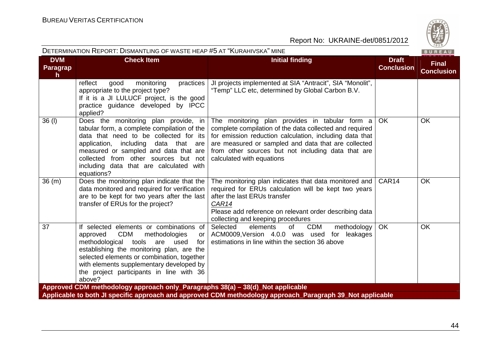

|                                     | DETERMINATION REPORT: DISMANTLING OF WASTE HEAP #5 AT "KURAHIVSKA" MINE<br>BUREAU                                                                                                                                                                                                                                                |                                                                                                                                                                                                                                                                                                                |                                   |                                   |
|-------------------------------------|----------------------------------------------------------------------------------------------------------------------------------------------------------------------------------------------------------------------------------------------------------------------------------------------------------------------------------|----------------------------------------------------------------------------------------------------------------------------------------------------------------------------------------------------------------------------------------------------------------------------------------------------------------|-----------------------------------|-----------------------------------|
| <b>DVM</b><br><b>Paragrap</b><br>h. | <b>Check Item</b>                                                                                                                                                                                                                                                                                                                | <b>Initial finding</b>                                                                                                                                                                                                                                                                                         | <b>Draft</b><br><b>Conclusion</b> | <b>Final</b><br><b>Conclusion</b> |
|                                     | reflect<br>good<br>monitoring<br>practices<br>appropriate to the project type?<br>If it is a JI LULUCF project, is the good<br>practice guidance developed by IPCC<br>applied?                                                                                                                                                   | JI projects implemented at SIA "Antracit", SIA "Monolit",<br>"Temp" LLC etc, determined by Global Carbon B.V.                                                                                                                                                                                                  |                                   |                                   |
| 36 (I)                              | Does the monitoring plan provide, in<br>tabular form, a complete compilation of the<br>data that need to be collected for its<br>including<br>application,<br>data that are<br>measured or sampled and data that are<br>collected from other sources but not<br>including data that are calculated with<br>equations?            | The monitoring plan provides in tabular form a<br>complete compilation of the data collected and required<br>for emission reduction calculation, including data that<br>are measured or sampled and data that are collected<br>from other sources but not including data that are<br>calculated with equations | OK.                               | <b>OK</b>                         |
| 36 (m)                              | Does the monitoring plan indicate that the<br>data monitored and required for verification<br>are to be kept for two years after the last<br>transfer of ERUs for the project?                                                                                                                                                   | The monitoring plan indicates that data monitored and<br>required for ERUs calculation will be kept two years<br>after the last ERUs transfer<br><b>CAR14</b><br>Please add reference on relevant order describing data<br>collecting and keeping procedures                                                   | CAR14                             | <b>OK</b>                         |
| 37                                  | If selected elements or combinations of<br><b>CDM</b><br>approved<br>methodologies<br>or<br>methodological tools<br>are used<br>for<br>establishing the monitoring plan, are the<br>selected elements or combination, together<br>with elements supplementary developed by<br>the project participants in line with 36<br>above? | Selected<br>elements<br>of<br><b>CDM</b><br>methodology<br>ACM0009, Version 4.0.0 was used<br>for leakages<br>estimations in line within the section 36 above                                                                                                                                                  | <b>OK</b>                         | <b>OK</b>                         |
|                                     | Approved CDM methodology approach only_Paragraphs 38(a) - 38(d)_Not applicable                                                                                                                                                                                                                                                   | Applicable to both JI specific approach and approved CDM methodology approach_Paragraph 39_Not applicable                                                                                                                                                                                                      |                                   |                                   |
|                                     |                                                                                                                                                                                                                                                                                                                                  |                                                                                                                                                                                                                                                                                                                |                                   |                                   |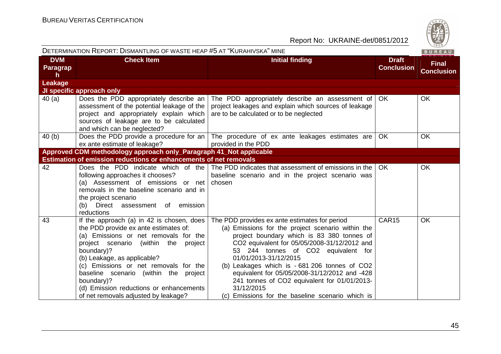

| DETERMINATION REPORT: DISMANTLING OF WASTE HEAP #5 AT "KURAHIVSKA" MINE |                                                                                                                                                                                                                                                                                                                                                                                                        |                                                                                                                                                                                                                                                                                                                                                                                                                                                                                      | BUREAU                            |                                   |
|-------------------------------------------------------------------------|--------------------------------------------------------------------------------------------------------------------------------------------------------------------------------------------------------------------------------------------------------------------------------------------------------------------------------------------------------------------------------------------------------|--------------------------------------------------------------------------------------------------------------------------------------------------------------------------------------------------------------------------------------------------------------------------------------------------------------------------------------------------------------------------------------------------------------------------------------------------------------------------------------|-----------------------------------|-----------------------------------|
| <b>DVM</b><br>Paragrap<br>h.                                            | <b>Check Item</b>                                                                                                                                                                                                                                                                                                                                                                                      | <b>Initial finding</b>                                                                                                                                                                                                                                                                                                                                                                                                                                                               | <b>Draft</b><br><b>Conclusion</b> | <b>Final</b><br><b>Conclusion</b> |
| Leakage                                                                 |                                                                                                                                                                                                                                                                                                                                                                                                        |                                                                                                                                                                                                                                                                                                                                                                                                                                                                                      |                                   |                                   |
|                                                                         | <b>JI specific approach only</b>                                                                                                                                                                                                                                                                                                                                                                       |                                                                                                                                                                                                                                                                                                                                                                                                                                                                                      |                                   |                                   |
| 40 (a)                                                                  | assessment of the potential leakage of the<br>project and appropriately explain which<br>sources of leakage are to be calculated<br>and which can be neglected?                                                                                                                                                                                                                                        | Does the PDD appropriately describe an $\vert$ The PDD appropriately describe an assessment of<br>project leakages and explain which sources of leakage<br>are to be calculated or to be neglected                                                                                                                                                                                                                                                                                   | OK.                               | OK                                |
| 40 (b)                                                                  | ex ante estimate of leakage?                                                                                                                                                                                                                                                                                                                                                                           | Does the PDD provide a procedure for an $\vert$ The procedure of ex ante leakages estimates are<br>provided in the PDD                                                                                                                                                                                                                                                                                                                                                               | <b>OK</b>                         | <b>OK</b>                         |
|                                                                         | Approved CDM methodology approach only_Paragraph 41_Not applicable                                                                                                                                                                                                                                                                                                                                     |                                                                                                                                                                                                                                                                                                                                                                                                                                                                                      |                                   |                                   |
|                                                                         | <b>Estimation of emission reductions or enhancements of net removals</b>                                                                                                                                                                                                                                                                                                                               |                                                                                                                                                                                                                                                                                                                                                                                                                                                                                      |                                   |                                   |
| 42                                                                      | following approaches it chooses?<br>(a) Assessment of emissions or net chosen<br>removals in the baseline scenario and in<br>the project scenario<br>(b) Direct assessment of emission<br>reductions                                                                                                                                                                                                   | Does the PDD indicate which of the The PDD indicates that assessment of emissions in the<br>baseline scenario and in the project scenario was                                                                                                                                                                                                                                                                                                                                        | OK.                               | <b>OK</b>                         |
| 43                                                                      | If the approach (a) in 42 is chosen, does<br>the PDD provide ex ante estimates of:<br>(a) Emissions or net removals for the<br>project scenario (within the<br>project<br>boundary)?<br>(b) Leakage, as applicable?<br>(c) Emissions or net removals for the<br>baseline scenario (within the project<br>boundary)?<br>(d) Emission reductions or enhancements<br>of net removals adjusted by leakage? | The PDD provides ex ante estimates for period<br>(a) Emissions for the project scenario within the<br>project boundary which is 83 380 tonnes of<br>CO2 equivalent for 05/05/2008-31/12/2012 and<br>53 244 tonnes of CO2 equivalent for<br>01/01/2013-31/12/2015<br>(b) Leakages which is - 681 206 tonnes of CO2<br>equivalent for 05/05/2008-31/12/2012 and -428<br>241 tonnes of CO2 equivalent for 01/01/2013-<br>31/12/2015<br>(c) Emissions for the baseline scenario which is | CAR <sub>15</sub>                 | OK                                |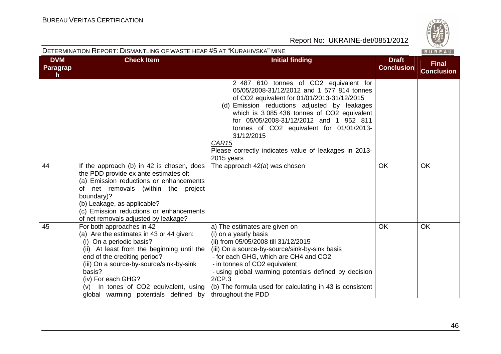| <b>DETERMINATION REPORT: DISMANTLING OF WASTE HEAP #5 AT "KURAHIVSKA" MINE</b> |                                                                                                                                                                                                                                                                                                                                                |                                                                                                                                                                                                                                                                                                                                                                                                                                                                      |                                   |                                   |  |  |
|--------------------------------------------------------------------------------|------------------------------------------------------------------------------------------------------------------------------------------------------------------------------------------------------------------------------------------------------------------------------------------------------------------------------------------------|----------------------------------------------------------------------------------------------------------------------------------------------------------------------------------------------------------------------------------------------------------------------------------------------------------------------------------------------------------------------------------------------------------------------------------------------------------------------|-----------------------------------|-----------------------------------|--|--|
| <b>DVM</b><br>Paragrap<br>h                                                    | <b>Check Item</b>                                                                                                                                                                                                                                                                                                                              | <b>Initial finding</b>                                                                                                                                                                                                                                                                                                                                                                                                                                               | <b>Draft</b><br><b>Conclusion</b> | <b>Final</b><br><b>Conclusion</b> |  |  |
| 44                                                                             | If the approach (b) in 42 is chosen, does<br>the PDD provide ex ante estimates of:<br>(a) Emission reductions or enhancements                                                                                                                                                                                                                  | 2 487 610 tonnes of CO2 equivalent for<br>05/05/2008-31/12/2012 and 1 577 814 tonnes<br>of CO2 equivalent for 01/01/2013-31/12/2015<br>(d) Emission reductions adjusted by leakages<br>which is 3 085 436 tonnes of CO2 equivalent<br>for 05/05/2008-31/12/2012 and 1 952 811<br>tonnes of CO2 equivalent for 01/01/2013-<br>31/12/2015<br>CAR <sub>15</sub><br>Please correctly indicates value of leakages in 2013-<br>2015 years<br>The approach 42(a) was chosen | <b>OK</b>                         | <b>OK</b>                         |  |  |
|                                                                                | of net removals (within the project<br>boundary)?<br>(b) Leakage, as applicable?<br>(c) Emission reductions or enhancements<br>of net removals adjusted by leakage?                                                                                                                                                                            |                                                                                                                                                                                                                                                                                                                                                                                                                                                                      |                                   |                                   |  |  |
| 45                                                                             | For both approaches in 42<br>(a) Are the estimates in 43 or 44 given:<br>(i) On a periodic basis?<br>(ii) At least from the beginning until the<br>end of the crediting period?<br>(iii) On a source-by-source/sink-by-sink<br>basis?<br>(iv) For each GHG?<br>$(v)$ In tones of CO2 equivalent, using<br>global warming potentials defined by | a) The estimates are given on<br>(i) on a yearly basis<br>(ii) from 05/05/2008 till 31/12/2015<br>(iii) On a source-by-source/sink-by-sink basis<br>- for each GHG, which are CH4 and CO2<br>- in tonnes of CO2 equivalent<br>- using global warming potentials defined by decision<br>2/CP.3<br>(b) The formula used for calculating in 43 is consistent<br>throughout the PDD                                                                                      | <b>OK</b>                         | OK                                |  |  |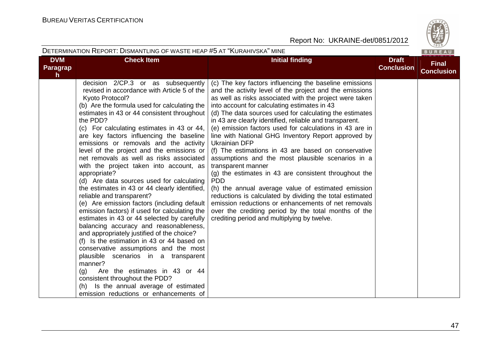

|                                               | DETERMINATION REPORT: DISMANTLING OF WASTE HEAP #5 AT "KURAHIVSKA" MINE                                                                                                                                                                                                                                                                                                                                                                                                                                                                                                                                                                                                                                                                                                                                                                                                                                                                                                                                                                                                                                                                                                           |                                                                                                                                                                                                                                                                                                                                                                                                                                                                                                                                                                                                                                                                                                                                                                                                                                                                                                                                                                                       |                                   | BUREAU                            |
|-----------------------------------------------|-----------------------------------------------------------------------------------------------------------------------------------------------------------------------------------------------------------------------------------------------------------------------------------------------------------------------------------------------------------------------------------------------------------------------------------------------------------------------------------------------------------------------------------------------------------------------------------------------------------------------------------------------------------------------------------------------------------------------------------------------------------------------------------------------------------------------------------------------------------------------------------------------------------------------------------------------------------------------------------------------------------------------------------------------------------------------------------------------------------------------------------------------------------------------------------|---------------------------------------------------------------------------------------------------------------------------------------------------------------------------------------------------------------------------------------------------------------------------------------------------------------------------------------------------------------------------------------------------------------------------------------------------------------------------------------------------------------------------------------------------------------------------------------------------------------------------------------------------------------------------------------------------------------------------------------------------------------------------------------------------------------------------------------------------------------------------------------------------------------------------------------------------------------------------------------|-----------------------------------|-----------------------------------|
| <b>DVM</b><br><b>Paragrap</b><br>$\mathsf{h}$ | <b>Check Item</b>                                                                                                                                                                                                                                                                                                                                                                                                                                                                                                                                                                                                                                                                                                                                                                                                                                                                                                                                                                                                                                                                                                                                                                 | <b>Initial finding</b>                                                                                                                                                                                                                                                                                                                                                                                                                                                                                                                                                                                                                                                                                                                                                                                                                                                                                                                                                                | <b>Draft</b><br><b>Conclusion</b> | <b>Final</b><br><b>Conclusion</b> |
|                                               | decision 2/CP.3 or as subsequently<br>revised in accordance with Article 5 of the<br>Kyoto Protocol?<br>(b) Are the formula used for calculating the<br>estimates in 43 or 44 consistent throughout<br>the PDD?<br>(c) For calculating estimates in 43 or 44,<br>are key factors influencing the baseline<br>emissions or removals and the activity<br>level of the project and the emissions or<br>net removals as well as risks associated<br>with the project taken into account, as<br>appropriate?<br>(d) Are data sources used for calculating<br>the estimates in 43 or 44 clearly identified,<br>reliable and transparent?<br>(e) Are emission factors (including default<br>emission factors) if used for calculating the<br>estimates in 43 or 44 selected by carefully<br>balancing accuracy and reasonableness,<br>and appropriately justified of the choice?<br>(f) Is the estimation in 43 or 44 based on<br>conservative assumptions and the most<br>plausible scenarios in a transparent<br>manner?<br>Are the estimates in 43 or 44<br>(q)<br>consistent throughout the PDD?<br>(h) Is the annual average of estimated<br>emission reductions or enhancements of | (c) The key factors influencing the baseline emissions<br>and the activity level of the project and the emissions<br>as well as risks associated with the project were taken<br>into account for calculating estimates in 43<br>(d) The data sources used for calculating the estimates<br>in 43 are clearly identified, reliable and transparent.<br>(e) emission factors used for calculations in 43 are in<br>line with National GHG Inventory Report approved by<br><b>Ukrainian DFP</b><br>(f) The estimations in 43 are based on conservative<br>assumptions and the most plausible scenarios in a<br>transparent manner<br>(g) the estimates in 43 are consistent throughout the<br><b>PDD</b><br>(h) the annual average value of estimated emission<br>reductions is calculated by dividing the total estimated<br>emission reductions or enhancements of net removals<br>over the crediting period by the total months of the<br>crediting period and multiplying by twelve. |                                   |                                   |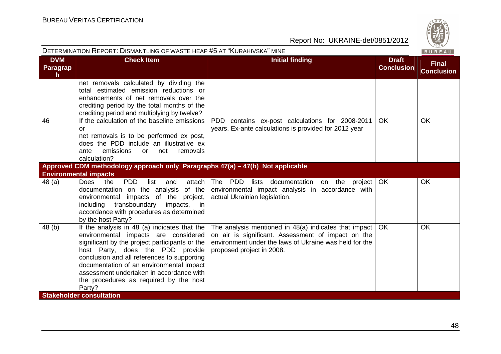| DETERMINATION REPORT: DISMANTLING OF WASTE HEAP #5 AT "KURAHIVSKA" MINE<br>BUREAU |                                                                                                                                                                                                                                                                                                                                                                       |                                                                                                                                                                                                    |                                   |                                   |  |  |  |
|-----------------------------------------------------------------------------------|-----------------------------------------------------------------------------------------------------------------------------------------------------------------------------------------------------------------------------------------------------------------------------------------------------------------------------------------------------------------------|----------------------------------------------------------------------------------------------------------------------------------------------------------------------------------------------------|-----------------------------------|-----------------------------------|--|--|--|
| <b>DVM</b><br>Paragrap<br>h                                                       | <b>Check Item</b>                                                                                                                                                                                                                                                                                                                                                     | <b>Initial finding</b>                                                                                                                                                                             | <b>Draft</b><br><b>Conclusion</b> | <b>Final</b><br><b>Conclusion</b> |  |  |  |
| 46                                                                                | net removals calculated by dividing the<br>total estimated emission reductions or<br>enhancements of net removals over the<br>crediting period by the total months of the<br>crediting period and multiplying by twelve?<br>If the calculation of the baseline emissions                                                                                              | PDD contains ex-post calculations for 2008-2011                                                                                                                                                    | OK.                               | <b>OK</b>                         |  |  |  |
|                                                                                   | or<br>net removals is to be performed ex post,<br>does the PDD include an illustrative ex<br>emissions<br>removals<br>ante<br>or<br>net<br>calculation?                                                                                                                                                                                                               | years. Ex-ante calculations is provided for 2012 year                                                                                                                                              |                                   |                                   |  |  |  |
|                                                                                   | Approved CDM methodology approach only_Paragraphs 47(a) – 47(b)_Not applicable                                                                                                                                                                                                                                                                                        |                                                                                                                                                                                                    |                                   |                                   |  |  |  |
| 48 (a)                                                                            | <b>Environmental impacts</b><br>the<br><b>PDD</b><br>Does<br>list<br>attach  <br>and                                                                                                                                                                                                                                                                                  | The PDD lists documentation on the project                                                                                                                                                         | <b>OK</b>                         | <b>OK</b>                         |  |  |  |
|                                                                                   | documentation on the analysis of the<br>environmental impacts of the project,<br>transboundary<br>impacts, in<br>including<br>accordance with procedures as determined<br>by the host Party?                                                                                                                                                                          | environmental impact analysis in accordance with<br>actual Ukrainian legislation.                                                                                                                  |                                   |                                   |  |  |  |
| 48 (b)                                                                            | If the analysis in 48 (a) indicates that the<br>environmental impacts are considered<br>significant by the project participants or the<br>host Party, does the PDD provide<br>conclusion and all references to supporting<br>documentation of an environmental impact<br>assessment undertaken in accordance with<br>the procedures as required by the host<br>Party? | The analysis mentioned in 48(a) indicates that impact<br>on air is significant. Assessment of impact on the<br>environment under the laws of Ukraine was held for the<br>proposed project in 2008. | <b>OK</b>                         | <b>OK</b>                         |  |  |  |
|                                                                                   | <b>Stakeholder consultation</b>                                                                                                                                                                                                                                                                                                                                       |                                                                                                                                                                                                    |                                   |                                   |  |  |  |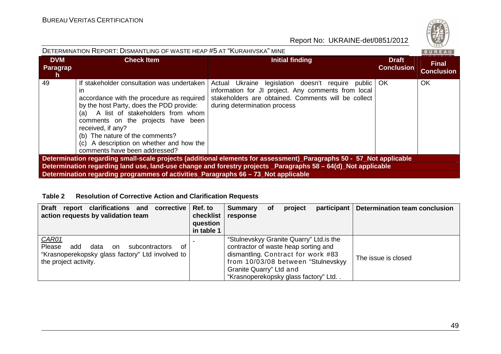| DETERMINATION REPORT: DISMANTLING OF WASTE HEAP #5 AT "KURAHIVSKA" MINE<br><b>BUREAU</b> |                                                                                                                                                                                                                                                                                                                                                                 |                                                                                                                                                                                                    |                                   |                                   |  |  |  |  |  |
|------------------------------------------------------------------------------------------|-----------------------------------------------------------------------------------------------------------------------------------------------------------------------------------------------------------------------------------------------------------------------------------------------------------------------------------------------------------------|----------------------------------------------------------------------------------------------------------------------------------------------------------------------------------------------------|-----------------------------------|-----------------------------------|--|--|--|--|--|
| <b>DVM</b><br><b>Paragrap</b><br>h                                                       | <b>Check Item</b>                                                                                                                                                                                                                                                                                                                                               | <b>Initial finding</b>                                                                                                                                                                             | <b>Draft</b><br><b>Conclusion</b> | <b>Final</b><br><b>Conclusion</b> |  |  |  |  |  |
| 49                                                                                       | If stakeholder consultation was undertaken<br>ın<br>accordance with the procedure as required<br>by the host Party, does the PDD provide:<br>A list of stakeholders from whom<br>(a)<br>comments on the projects have been<br>received, if any?<br>(b) The nature of the comments?<br>(c) A description on whether and how the<br>comments have been addressed? | Actual Ukraine legislation doesn't require public OK<br>information for JI project. Any comments from local<br>stakeholders are obtained. Comments will be collect<br>during determination process |                                   | <b>OK</b>                         |  |  |  |  |  |
|                                                                                          | Determination regarding small-scale projects (additional elements for assessment)_Paragraphs 50 - 57_Not applicable                                                                                                                                                                                                                                             |                                                                                                                                                                                                    |                                   |                                   |  |  |  |  |  |
|                                                                                          |                                                                                                                                                                                                                                                                                                                                                                 | Determination regarding land use, land-use change and forestry projects _Paragraphs 58 - 64(d)_Not applicable                                                                                      |                                   |                                   |  |  |  |  |  |
|                                                                                          | Determination regarding programmes of activities_Paragraphs 66 – 73 Not applicable                                                                                                                                                                                                                                                                              |                                                                                                                                                                                                    |                                   |                                   |  |  |  |  |  |

#### **Table 2 Resolution of Corrective Action and Clarification Requests**

| <b>Draft</b><br>report clarifications and<br>corrective<br>action requests by validation team                                                     | Ref. to<br>checklist<br>question<br>in table 1 | <b>Summary</b><br>response                                                                                                                                                                                                      | <b>of</b> | project | participant | Determination team conclusion |
|---------------------------------------------------------------------------------------------------------------------------------------------------|------------------------------------------------|---------------------------------------------------------------------------------------------------------------------------------------------------------------------------------------------------------------------------------|-----------|---------|-------------|-------------------------------|
| <b>CAR01</b><br>Please<br>add<br>data<br>subcontractors<br>0t<br>on.<br>"Krasnoperekopsky glass factory" Ltd involved to<br>the project activity. |                                                | "Stulnevskyy Granite Quarry" Ltd. is the<br>contractor of waste heap sorting and<br>dismantling. Contract for work #83<br>from 10/03/08 between "Stulnevskyy<br>Granite Quarry" Ltd and<br>"Krasnoperekopsky glass factory" Ltd |           |         |             | The issue is closed           |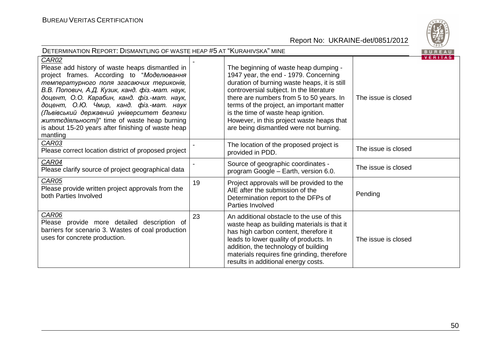

| DETERMINATION REPORT: DISMANTLING OF WASTE HEAP #5 AT "KURAHIVSKA" MINE<br>BUREAU                                                                                                                                                                                                                                                                                                                                                                                     |    |                                                                                                                                                                                                                                                                                                                                                                                                   |                     |                |  |
|-----------------------------------------------------------------------------------------------------------------------------------------------------------------------------------------------------------------------------------------------------------------------------------------------------------------------------------------------------------------------------------------------------------------------------------------------------------------------|----|---------------------------------------------------------------------------------------------------------------------------------------------------------------------------------------------------------------------------------------------------------------------------------------------------------------------------------------------------------------------------------------------------|---------------------|----------------|--|
| CAR02<br>Please add history of waste heaps dismantled in<br>project frames. According to "Моделювання<br>температурного поля згасаючих териконів,<br>В.В. Попович, А.Д. Кузик, канд. фіз.-мат. наук,<br>доцент, О.О. Карабин, канд. фіз.-мат. наук,<br>доцент, О.Ю. Чмир, канд. фіз.-мат. наук<br>(Львівський державний університет безпеки<br><i>життедіяльності)</i> " time of waste heap burning<br>is about 15-20 years after finishing of waste heap<br>mantling |    | The beginning of waste heap dumping -<br>1947 year, the end - 1979. Concerning<br>duration of burning waste heaps, it is still<br>controversial subject. In the literature<br>there are numbers from 5 to 50 years. In<br>terms of the project, an important matter<br>is the time of waste heap ignition.<br>However, in this project waste heaps that<br>are being dismantled were not burning. | The issue is closed | <b>VERITAS</b> |  |
| CAR03<br>Please correct location district of proposed project                                                                                                                                                                                                                                                                                                                                                                                                         |    | The location of the proposed project is<br>provided in PDD.                                                                                                                                                                                                                                                                                                                                       | The issue is closed |                |  |
| <b>CAR04</b><br>Please clarify source of project geographical data                                                                                                                                                                                                                                                                                                                                                                                                    |    | Source of geographic coordinates -<br>program Google - Earth, version 6.0.                                                                                                                                                                                                                                                                                                                        | The issue is closed |                |  |
| CAR05<br>Please provide written project approvals from the<br>both Parties Involved                                                                                                                                                                                                                                                                                                                                                                                   | 19 | Project approvals will be provided to the<br>AIE after the submission of the<br>Determination report to the DFPs of<br>Parties Involved                                                                                                                                                                                                                                                           | Pending             |                |  |
| <b>CAR06</b><br>Please provide more detailed description of<br>barriers for scenario 3. Wastes of coal production<br>uses for concrete production.                                                                                                                                                                                                                                                                                                                    | 23 | An additional obstacle to the use of this<br>waste heap as building materials is that it<br>has high carbon content, therefore it<br>leads to lower quality of products. In<br>addition, the technology of building<br>materials requires fine grinding, therefore<br>results in additional energy costs.                                                                                         | The issue is closed |                |  |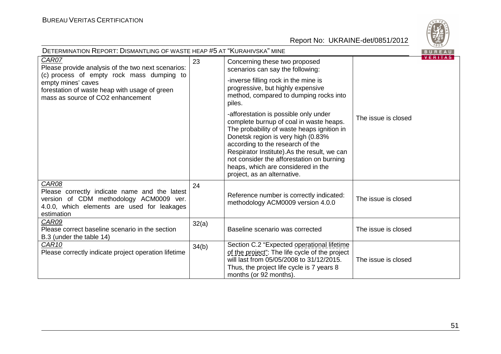

| <b>DETERMINATION REPORT: DISMANTLING OF WASTE HEAP #5 AT "KURAHIVSKA" MINE</b><br>BUREAU                                                                                                                             |       |                                                                                                                                                                                                                                                                                                                                                                           |                     |                |
|----------------------------------------------------------------------------------------------------------------------------------------------------------------------------------------------------------------------|-------|---------------------------------------------------------------------------------------------------------------------------------------------------------------------------------------------------------------------------------------------------------------------------------------------------------------------------------------------------------------------------|---------------------|----------------|
| CAR07<br>Please provide analysis of the two next scenarios:<br>(c) process of empty rock mass dumping to<br>empty mines' caves<br>forestation of waste heap with usage of green<br>mass as source of CO2 enhancement | 23    | Concerning these two proposed<br>scenarios can say the following:<br>-inverse filling rock in the mine is<br>progressive, but highly expensive<br>method, compared to dumping rocks into<br>piles.                                                                                                                                                                        |                     | <b>VERITAS</b> |
|                                                                                                                                                                                                                      |       | -afforestation is possible only under<br>complete burnup of coal in waste heaps.<br>The probability of waste heaps ignition in<br>Donetsk region is very high (0.83%<br>according to the research of the<br>Respirator Institute).As the result, we can<br>not consider the afforestation on burning<br>heaps, which are considered in the<br>project, as an alternative. | The issue is closed |                |
| CAR08<br>Please correctly indicate name and the latest<br>version of CDM methodology ACM0009 ver.<br>4.0.0, which elements are used for leakages<br>estimation                                                       | 24    | Reference number is correctly indicated:<br>methodology ACM0009 version 4.0.0                                                                                                                                                                                                                                                                                             | The issue is closed |                |
| CAR09<br>Please correct baseline scenario in the section<br>B.3 (under the table 14)                                                                                                                                 | 32(a) | Baseline scenario was corrected                                                                                                                                                                                                                                                                                                                                           | The issue is closed |                |
| CAR <sub>10</sub><br>Please correctly indicate project operation lifetime                                                                                                                                            | 34(b) | Section C.2 "Expected operational lifetime<br>of the project": The life cycle of the project<br>will last from 05/05/2008 to 31/12/2015.<br>Thus, the project life cycle is 7 years 8<br>months (or 92 months).                                                                                                                                                           | The issue is closed |                |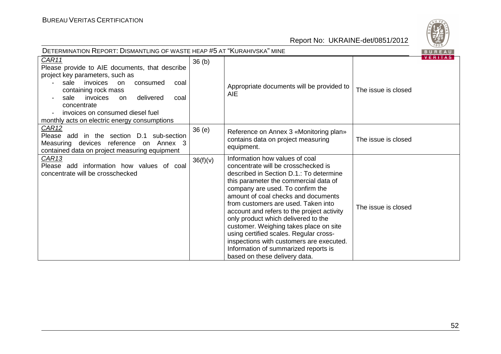

| <b>DETERMINATION REPORT: DISMANTLING OF WASTE HEAP #5 AT "KURAHIVSKA" MINE</b><br>BUREAU                                                                                                                                                                                                                            |                   |                                                                                                                                                                                                                                                                                                                                                                                                                                                                                                                                                                           |                     |                |  |
|---------------------------------------------------------------------------------------------------------------------------------------------------------------------------------------------------------------------------------------------------------------------------------------------------------------------|-------------------|---------------------------------------------------------------------------------------------------------------------------------------------------------------------------------------------------------------------------------------------------------------------------------------------------------------------------------------------------------------------------------------------------------------------------------------------------------------------------------------------------------------------------------------------------------------------------|---------------------|----------------|--|
| CAR11<br>Please provide to AIE documents, that describe<br>project key parameters, such as<br>sale invoices on<br>consumed<br>coal<br>containing rock mass<br>invoices<br>delivered<br>sale<br><b>on</b><br>coal<br>concentrate<br>invoices on consumed diesel fuel<br>monthly acts on electric energy consumptions | 36 <sub>(b)</sub> | Appropriate documents will be provided to<br><b>AIE</b>                                                                                                                                                                                                                                                                                                                                                                                                                                                                                                                   | The issue is closed | <b>VERITAS</b> |  |
| CAR12<br>Please add in the section D.1 sub-section<br>Measuring devices reference on Annex 3<br>contained data on project measuring equipment                                                                                                                                                                       | 36(e)             | Reference on Annex 3 «Monitoring plan»<br>contains data on project measuring<br>equipment.                                                                                                                                                                                                                                                                                                                                                                                                                                                                                | The issue is closed |                |  |
| <u>CAR13</u><br>Please add information how values of coal<br>concentrate will be crosschecked                                                                                                                                                                                                                       | 36(f)(v)          | Information how values of coal<br>concentrate will be crosschecked is<br>described in Section D.1.: To determine<br>this parameter the commercial data of<br>company are used. To confirm the<br>amount of coal checks and documents<br>from customers are used. Taken into<br>account and refers to the project activity<br>only product which delivered to the<br>customer. Weighing takes place on site<br>using certified scales. Regular cross-<br>inspections with customers are executed.<br>Information of summarized reports is<br>based on these delivery data. | The issue is closed |                |  |